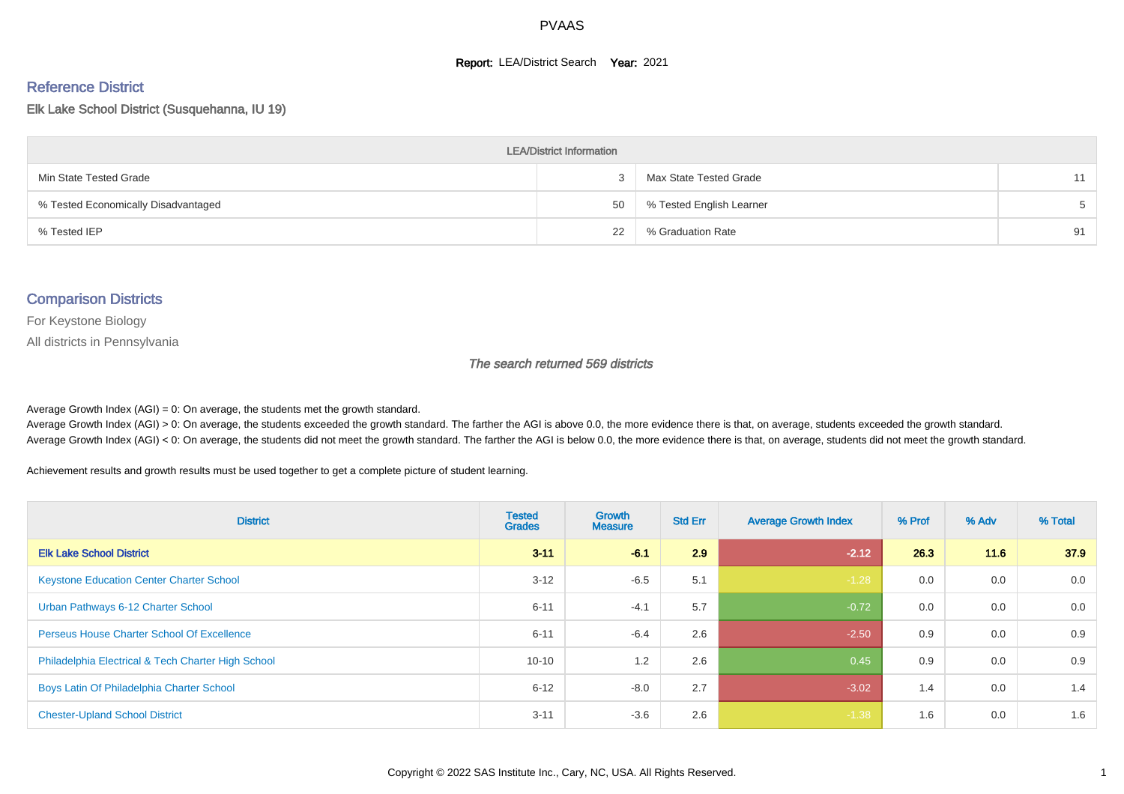#### **Report: LEA/District Search Year: 2021**

#### Reference District

Elk Lake School District (Susquehanna, IU 19)

| <b>LEA/District Information</b>     |    |                          |    |  |  |  |  |  |  |
|-------------------------------------|----|--------------------------|----|--|--|--|--|--|--|
| Min State Tested Grade              |    | Max State Tested Grade   | 11 |  |  |  |  |  |  |
| % Tested Economically Disadvantaged | 50 | % Tested English Learner |    |  |  |  |  |  |  |
| % Tested IEP                        | 22 | % Graduation Rate        | 91 |  |  |  |  |  |  |

#### Comparison Districts

For Keystone Biology

All districts in Pennsylvania

The search returned 569 districts

Average Growth Index  $(AGI) = 0$ : On average, the students met the growth standard.

Average Growth Index (AGI) > 0: On average, the students exceeded the growth standard. The farther the AGI is above 0.0, the more evidence there is that, on average, students exceeded the growth standard. Average Growth Index (AGI) < 0: On average, the students did not meet the growth standard. The farther the AGI is below 0.0, the more evidence there is that, on average, students did not meet the growth standard.

Achievement results and growth results must be used together to get a complete picture of student learning.

| <b>District</b>                                    | <b>Tested</b><br><b>Grades</b> | <b>Growth</b><br><b>Measure</b> | <b>Std Err</b> | <b>Average Growth Index</b> | % Prof | % Adv | % Total |
|----------------------------------------------------|--------------------------------|---------------------------------|----------------|-----------------------------|--------|-------|---------|
| <b>Elk Lake School District</b>                    | $3 - 11$                       | $-6.1$                          | 2.9            | $-2.12$                     | 26.3   | 11.6  | 37.9    |
| <b>Keystone Education Center Charter School</b>    | $3 - 12$                       | $-6.5$                          | 5.1            | $-1.28$                     | 0.0    | 0.0   | 0.0     |
| Urban Pathways 6-12 Charter School                 | $6 - 11$                       | $-4.1$                          | 5.7            | $-0.72$                     | 0.0    | 0.0   | 0.0     |
| <b>Perseus House Charter School Of Excellence</b>  | $6 - 11$                       | $-6.4$                          | 2.6            | $-2.50$                     | 0.9    | 0.0   | 0.9     |
| Philadelphia Electrical & Tech Charter High School | $10 - 10$                      | 1.2                             | 2.6            | 0.45                        | 0.9    | 0.0   | 0.9     |
| Boys Latin Of Philadelphia Charter School          | $6 - 12$                       | $-8.0$                          | 2.7            | $-3.02$                     | 1.4    | 0.0   | 1.4     |
| <b>Chester-Upland School District</b>              | $3 - 11$                       | $-3.6$                          | 2.6            | $-1.38$                     | 1.6    | 0.0   | 1.6     |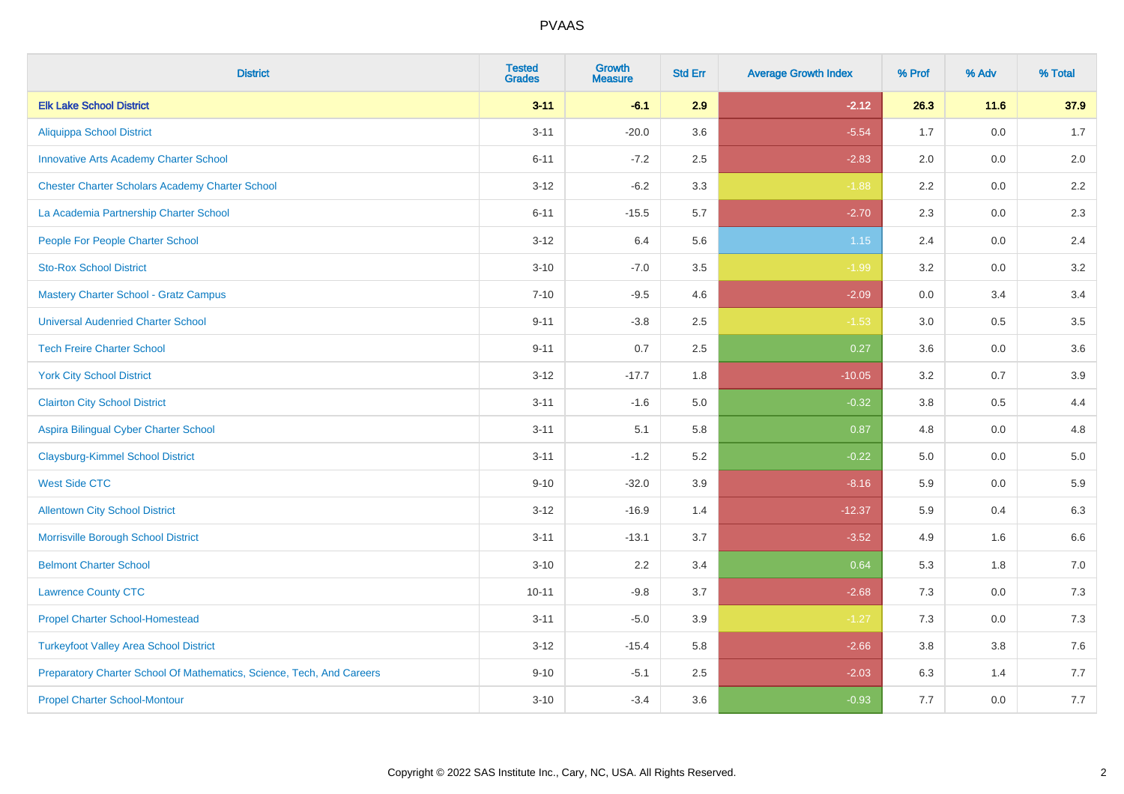| <b>District</b>                                                       | <b>Tested</b><br><b>Grades</b> | <b>Growth</b><br><b>Measure</b> | <b>Std Err</b> | <b>Average Growth Index</b> | % Prof | % Adv   | % Total |
|-----------------------------------------------------------------------|--------------------------------|---------------------------------|----------------|-----------------------------|--------|---------|---------|
| <b>Elk Lake School District</b>                                       | $3 - 11$                       | $-6.1$                          | 2.9            | $-2.12$                     | 26.3   | 11.6    | 37.9    |
| <b>Aliquippa School District</b>                                      | $3 - 11$                       | $-20.0$                         | 3.6            | $-5.54$                     | 1.7    | 0.0     | 1.7     |
| <b>Innovative Arts Academy Charter School</b>                         | $6 - 11$                       | $-7.2$                          | 2.5            | $-2.83$                     | 2.0    | 0.0     | 2.0     |
| <b>Chester Charter Scholars Academy Charter School</b>                | $3 - 12$                       | $-6.2$                          | 3.3            | $-1.88$                     | 2.2    | $0.0\,$ | $2.2\,$ |
| La Academia Partnership Charter School                                | $6 - 11$                       | $-15.5$                         | 5.7            | $-2.70$                     | 2.3    | 0.0     | 2.3     |
| People For People Charter School                                      | $3 - 12$                       | 6.4                             | 5.6            | $1.15$                      | 2.4    | 0.0     | 2.4     |
| <b>Sto-Rox School District</b>                                        | $3 - 10$                       | $-7.0$                          | 3.5            | $-1.99$                     | 3.2    | $0.0\,$ | 3.2     |
| <b>Mastery Charter School - Gratz Campus</b>                          | $7 - 10$                       | $-9.5$                          | 4.6            | $-2.09$                     | 0.0    | 3.4     | 3.4     |
| <b>Universal Audenried Charter School</b>                             | $9 - 11$                       | $-3.8$                          | 2.5            | $-1.53$                     | 3.0    | 0.5     | 3.5     |
| <b>Tech Freire Charter School</b>                                     | $9 - 11$                       | 0.7                             | $2.5\,$        | 0.27                        | 3.6    | 0.0     | 3.6     |
| <b>York City School District</b>                                      | $3 - 12$                       | $-17.7$                         | 1.8            | $-10.05$                    | 3.2    | 0.7     | 3.9     |
| <b>Clairton City School District</b>                                  | $3 - 11$                       | $-1.6$                          | 5.0            | $-0.32$                     | 3.8    | 0.5     | 4.4     |
| Aspira Bilingual Cyber Charter School                                 | $3 - 11$                       | 5.1                             | 5.8            | 0.87                        | 4.8    | 0.0     | 4.8     |
| <b>Claysburg-Kimmel School District</b>                               | $3 - 11$                       | $-1.2$                          | 5.2            | $-0.22$                     | 5.0    | 0.0     | $5.0$   |
| <b>West Side CTC</b>                                                  | $9 - 10$                       | $-32.0$                         | 3.9            | $-8.16$                     | 5.9    | 0.0     | 5.9     |
| <b>Allentown City School District</b>                                 | $3 - 12$                       | $-16.9$                         | 1.4            | $-12.37$                    | 5.9    | 0.4     | 6.3     |
| Morrisville Borough School District                                   | $3 - 11$                       | $-13.1$                         | 3.7            | $-3.52$                     | 4.9    | 1.6     | 6.6     |
| <b>Belmont Charter School</b>                                         | $3 - 10$                       | 2.2                             | 3.4            | 0.64                        | 5.3    | 1.8     | 7.0     |
| <b>Lawrence County CTC</b>                                            | $10 - 11$                      | $-9.8$                          | 3.7            | $-2.68$                     | 7.3    | 0.0     | 7.3     |
| <b>Propel Charter School-Homestead</b>                                | $3 - 11$                       | $-5.0$                          | 3.9            | $-1.27$                     | 7.3    | 0.0     | $7.3$   |
| <b>Turkeyfoot Valley Area School District</b>                         | $3 - 12$                       | $-15.4$                         | 5.8            | $-2.66$                     | 3.8    | 3.8     | $7.6$   |
| Preparatory Charter School Of Mathematics, Science, Tech, And Careers | $9 - 10$                       | $-5.1$                          | 2.5            | $-2.03$                     | 6.3    | 1.4     | 7.7     |
| <b>Propel Charter School-Montour</b>                                  | $3 - 10$                       | $-3.4$                          | 3.6            | $-0.93$                     | 7.7    | 0.0     | 7.7     |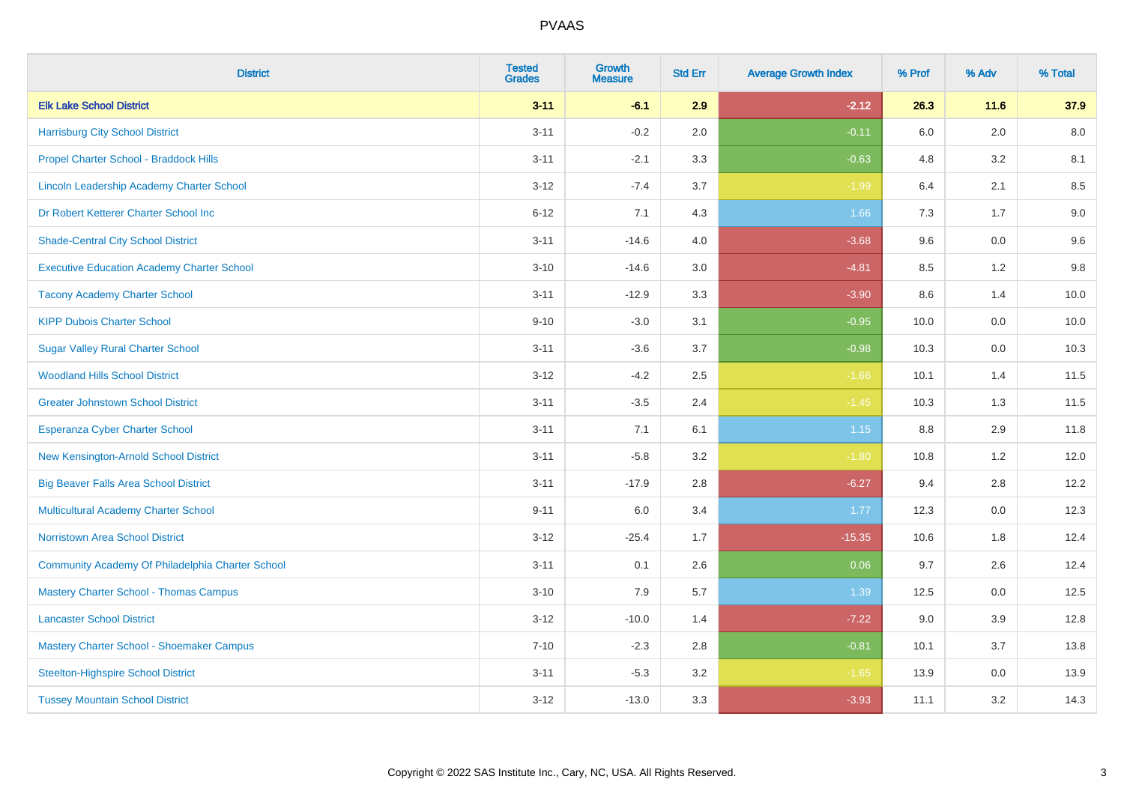| <b>District</b>                                   | <b>Tested</b><br><b>Grades</b> | <b>Growth</b><br><b>Measure</b> | <b>Std Err</b> | <b>Average Growth Index</b> | % Prof | % Adv   | % Total |
|---------------------------------------------------|--------------------------------|---------------------------------|----------------|-----------------------------|--------|---------|---------|
| <b>Elk Lake School District</b>                   | $3 - 11$                       | $-6.1$                          | 2.9            | $-2.12$                     | 26.3   | 11.6    | 37.9    |
| <b>Harrisburg City School District</b>            | $3 - 11$                       | $-0.2$                          | 2.0            | $-0.11$                     | 6.0    | 2.0     | 8.0     |
| Propel Charter School - Braddock Hills            | $3 - 11$                       | $-2.1$                          | 3.3            | $-0.63$                     | 4.8    | 3.2     | 8.1     |
| Lincoln Leadership Academy Charter School         | $3 - 12$                       | $-7.4$                          | 3.7            | $-1.99$                     | 6.4    | 2.1     | 8.5     |
| Dr Robert Ketterer Charter School Inc             | $6 - 12$                       | 7.1                             | 4.3            | 1.66                        | 7.3    | 1.7     | 9.0     |
| <b>Shade-Central City School District</b>         | $3 - 11$                       | $-14.6$                         | 4.0            | $-3.68$                     | 9.6    | 0.0     | 9.6     |
| <b>Executive Education Academy Charter School</b> | $3 - 10$                       | $-14.6$                         | 3.0            | $-4.81$                     | 8.5    | 1.2     | 9.8     |
| <b>Tacony Academy Charter School</b>              | $3 - 11$                       | $-12.9$                         | 3.3            | $-3.90$                     | 8.6    | 1.4     | 10.0    |
| <b>KIPP Dubois Charter School</b>                 | $9 - 10$                       | $-3.0$                          | 3.1            | $-0.95$                     | 10.0   | 0.0     | 10.0    |
| <b>Sugar Valley Rural Charter School</b>          | $3 - 11$                       | $-3.6$                          | 3.7            | $-0.98$                     | 10.3   | 0.0     | 10.3    |
| <b>Woodland Hills School District</b>             | $3 - 12$                       | $-4.2$                          | 2.5            | $-1.66$                     | 10.1   | 1.4     | 11.5    |
| <b>Greater Johnstown School District</b>          | $3 - 11$                       | $-3.5$                          | 2.4            | $-1.45$                     | 10.3   | 1.3     | 11.5    |
| Esperanza Cyber Charter School                    | $3 - 11$                       | 7.1                             | 6.1            | $1.15$                      | 8.8    | 2.9     | 11.8    |
| New Kensington-Arnold School District             | $3 - 11$                       | $-5.8$                          | 3.2            | $-1.80$                     | 10.8   | 1.2     | 12.0    |
| <b>Big Beaver Falls Area School District</b>      | $3 - 11$                       | $-17.9$                         | 2.8            | $-6.27$                     | 9.4    | 2.8     | 12.2    |
| <b>Multicultural Academy Charter School</b>       | $9 - 11$                       | 6.0                             | 3.4            | 1.77                        | 12.3   | $0.0\,$ | 12.3    |
| Norristown Area School District                   | $3 - 12$                       | $-25.4$                         | 1.7            | $-15.35$                    | 10.6   | 1.8     | 12.4    |
| Community Academy Of Philadelphia Charter School  | $3 - 11$                       | 0.1                             | 2.6            | 0.06                        | 9.7    | 2.6     | 12.4    |
| <b>Mastery Charter School - Thomas Campus</b>     | $3 - 10$                       | 7.9                             | 5.7            | 1.39                        | 12.5   | 0.0     | 12.5    |
| <b>Lancaster School District</b>                  | $3 - 12$                       | $-10.0$                         | 1.4            | $-7.22$                     | 9.0    | 3.9     | 12.8    |
| Mastery Charter School - Shoemaker Campus         | $7 - 10$                       | $-2.3$                          | 2.8            | $-0.81$                     | 10.1   | 3.7     | 13.8    |
| <b>Steelton-Highspire School District</b>         | $3 - 11$                       | $-5.3$                          | 3.2            | $-1.65$                     | 13.9   | $0.0\,$ | 13.9    |
| <b>Tussey Mountain School District</b>            | $3 - 12$                       | $-13.0$                         | 3.3            | $-3.93$                     | 11.1   | 3.2     | 14.3    |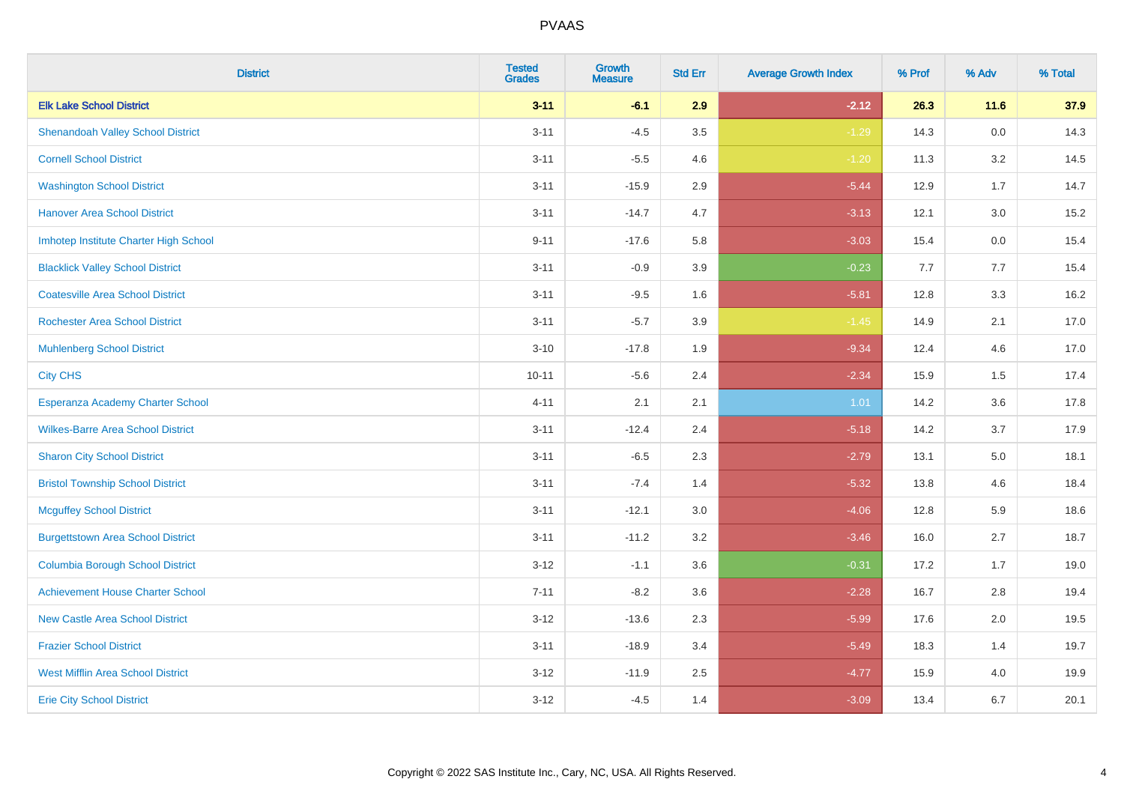| <b>District</b>                          | <b>Tested</b><br><b>Grades</b> | <b>Growth</b><br><b>Measure</b> | <b>Std Err</b> | <b>Average Growth Index</b> | % Prof | % Adv   | % Total |
|------------------------------------------|--------------------------------|---------------------------------|----------------|-----------------------------|--------|---------|---------|
| <b>Elk Lake School District</b>          | $3 - 11$                       | $-6.1$                          | 2.9            | $-2.12$                     | 26.3   | 11.6    | 37.9    |
| <b>Shenandoah Valley School District</b> | $3 - 11$                       | $-4.5$                          | 3.5            | $-1.29$                     | 14.3   | $0.0\,$ | 14.3    |
| <b>Cornell School District</b>           | $3 - 11$                       | $-5.5$                          | 4.6            | $-1.20$                     | 11.3   | 3.2     | 14.5    |
| <b>Washington School District</b>        | $3 - 11$                       | $-15.9$                         | 2.9            | $-5.44$                     | 12.9   | 1.7     | 14.7    |
| <b>Hanover Area School District</b>      | $3 - 11$                       | $-14.7$                         | 4.7            | $-3.13$                     | 12.1   | 3.0     | 15.2    |
| Imhotep Institute Charter High School    | $9 - 11$                       | $-17.6$                         | 5.8            | $-3.03$                     | 15.4   | 0.0     | 15.4    |
| <b>Blacklick Valley School District</b>  | $3 - 11$                       | $-0.9$                          | 3.9            | $-0.23$                     | 7.7    | 7.7     | 15.4    |
| <b>Coatesville Area School District</b>  | $3 - 11$                       | $-9.5$                          | 1.6            | $-5.81$                     | 12.8   | 3.3     | 16.2    |
| <b>Rochester Area School District</b>    | $3 - 11$                       | $-5.7$                          | 3.9            | $-1.45$                     | 14.9   | 2.1     | 17.0    |
| <b>Muhlenberg School District</b>        | $3 - 10$                       | $-17.8$                         | 1.9            | $-9.34$                     | 12.4   | 4.6     | 17.0    |
| <b>City CHS</b>                          | $10 - 11$                      | $-5.6$                          | 2.4            | $-2.34$                     | 15.9   | 1.5     | 17.4    |
| Esperanza Academy Charter School         | $4 - 11$                       | 2.1                             | 2.1            | 1.01                        | 14.2   | 3.6     | 17.8    |
| <b>Wilkes-Barre Area School District</b> | $3 - 11$                       | $-12.4$                         | 2.4            | $-5.18$                     | 14.2   | 3.7     | 17.9    |
| <b>Sharon City School District</b>       | $3 - 11$                       | $-6.5$                          | 2.3            | $-2.79$                     | 13.1   | 5.0     | 18.1    |
| <b>Bristol Township School District</b>  | $3 - 11$                       | $-7.4$                          | 1.4            | $-5.32$                     | 13.8   | 4.6     | 18.4    |
| <b>Mcguffey School District</b>          | $3 - 11$                       | $-12.1$                         | 3.0            | $-4.06$                     | 12.8   | 5.9     | 18.6    |
| <b>Burgettstown Area School District</b> | $3 - 11$                       | $-11.2$                         | 3.2            | $-3.46$                     | 16.0   | 2.7     | 18.7    |
| <b>Columbia Borough School District</b>  | $3 - 12$                       | $-1.1$                          | 3.6            | $-0.31$                     | 17.2   | 1.7     | 19.0    |
| <b>Achievement House Charter School</b>  | $7 - 11$                       | $-8.2$                          | 3.6            | $-2.28$                     | 16.7   | 2.8     | 19.4    |
| <b>New Castle Area School District</b>   | $3 - 12$                       | $-13.6$                         | 2.3            | $-5.99$                     | 17.6   | 2.0     | 19.5    |
| <b>Frazier School District</b>           | $3 - 11$                       | $-18.9$                         | 3.4            | $-5.49$                     | 18.3   | 1.4     | 19.7    |
| <b>West Mifflin Area School District</b> | $3 - 12$                       | $-11.9$                         | 2.5            | $-4.77$                     | 15.9   | 4.0     | 19.9    |
| <b>Erie City School District</b>         | $3 - 12$                       | $-4.5$                          | 1.4            | $-3.09$                     | 13.4   | 6.7     | 20.1    |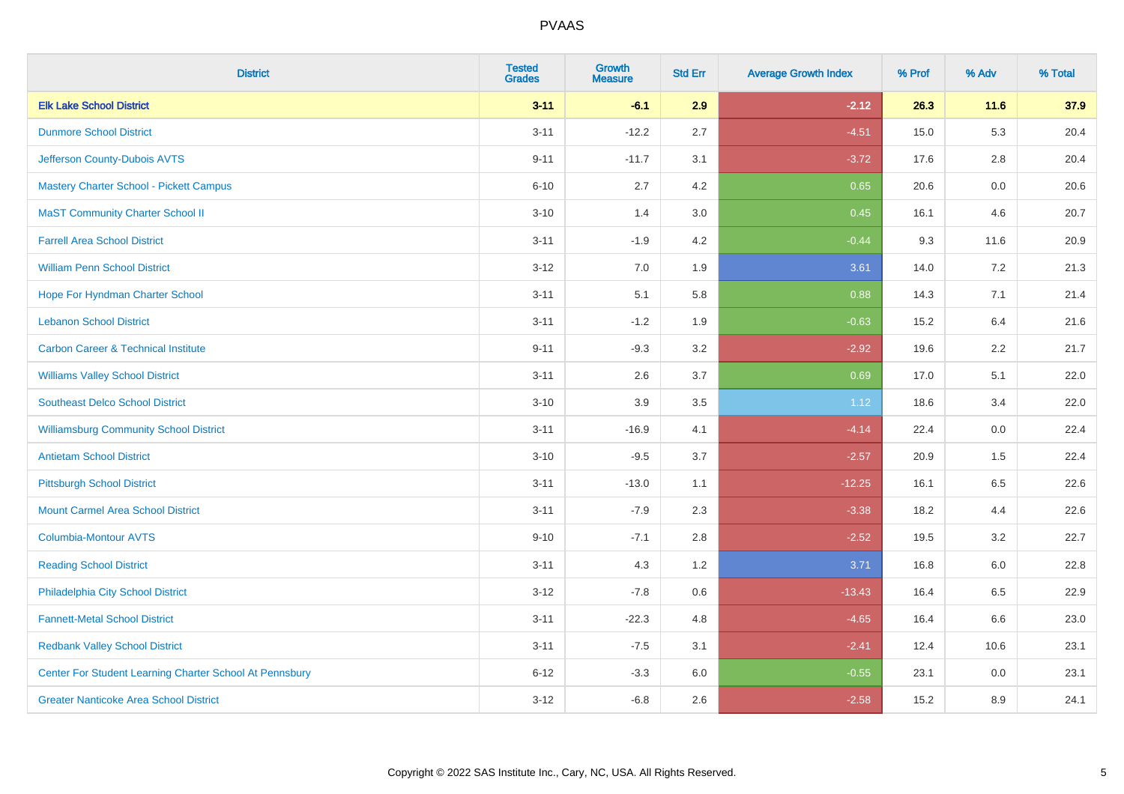| <b>District</b>                                         | <b>Tested</b><br><b>Grades</b> | <b>Growth</b><br><b>Measure</b> | <b>Std Err</b> | <b>Average Growth Index</b> | % Prof | % Adv | % Total |
|---------------------------------------------------------|--------------------------------|---------------------------------|----------------|-----------------------------|--------|-------|---------|
| <b>Elk Lake School District</b>                         | $3 - 11$                       | $-6.1$                          | 2.9            | $-2.12$                     | 26.3   | 11.6  | 37.9    |
| <b>Dunmore School District</b>                          | $3 - 11$                       | $-12.2$                         | 2.7            | $-4.51$                     | 15.0   | 5.3   | 20.4    |
| Jefferson County-Dubois AVTS                            | $9 - 11$                       | $-11.7$                         | 3.1            | $-3.72$                     | 17.6   | 2.8   | 20.4    |
| Mastery Charter School - Pickett Campus                 | $6 - 10$                       | 2.7                             | 4.2            | 0.65                        | 20.6   | 0.0   | 20.6    |
| <b>MaST Community Charter School II</b>                 | $3 - 10$                       | 1.4                             | 3.0            | 0.45                        | 16.1   | 4.6   | 20.7    |
| <b>Farrell Area School District</b>                     | $3 - 11$                       | $-1.9$                          | 4.2            | $-0.44$                     | 9.3    | 11.6  | 20.9    |
| <b>William Penn School District</b>                     | $3 - 12$                       | 7.0                             | 1.9            | 3.61                        | 14.0   | 7.2   | 21.3    |
| Hope For Hyndman Charter School                         | $3 - 11$                       | 5.1                             | 5.8            | 0.88                        | 14.3   | 7.1   | 21.4    |
| <b>Lebanon School District</b>                          | $3 - 11$                       | $-1.2$                          | 1.9            | $-0.63$                     | 15.2   | 6.4   | 21.6    |
| <b>Carbon Career &amp; Technical Institute</b>          | $9 - 11$                       | $-9.3$                          | 3.2            | $-2.92$                     | 19.6   | 2.2   | 21.7    |
| <b>Williams Valley School District</b>                  | $3 - 11$                       | 2.6                             | 3.7            | 0.69                        | 17.0   | 5.1   | 22.0    |
| <b>Southeast Delco School District</b>                  | $3 - 10$                       | 3.9                             | 3.5            | 1.12                        | 18.6   | 3.4   | 22.0    |
| <b>Williamsburg Community School District</b>           | $3 - 11$                       | $-16.9$                         | 4.1            | $-4.14$                     | 22.4   | 0.0   | 22.4    |
| <b>Antietam School District</b>                         | $3 - 10$                       | $-9.5$                          | 3.7            | $-2.57$                     | 20.9   | 1.5   | 22.4    |
| <b>Pittsburgh School District</b>                       | $3 - 11$                       | $-13.0$                         | 1.1            | $-12.25$                    | 16.1   | 6.5   | 22.6    |
| <b>Mount Carmel Area School District</b>                | $3 - 11$                       | $-7.9$                          | 2.3            | $-3.38$                     | 18.2   | 4.4   | 22.6    |
| <b>Columbia-Montour AVTS</b>                            | $9 - 10$                       | $-7.1$                          | 2.8            | $-2.52$                     | 19.5   | 3.2   | 22.7    |
| <b>Reading School District</b>                          | $3 - 11$                       | 4.3                             | 1.2            | 3.71                        | 16.8   | 6.0   | 22.8    |
| Philadelphia City School District                       | $3 - 12$                       | $-7.8$                          | 0.6            | $-13.43$                    | 16.4   | 6.5   | 22.9    |
| <b>Fannett-Metal School District</b>                    | $3 - 11$                       | $-22.3$                         | 4.8            | $-4.65$                     | 16.4   | 6.6   | 23.0    |
| <b>Redbank Valley School District</b>                   | $3 - 11$                       | $-7.5$                          | 3.1            | $-2.41$                     | 12.4   | 10.6  | 23.1    |
| Center For Student Learning Charter School At Pennsbury | $6 - 12$                       | $-3.3$                          | 6.0            | $-0.55$                     | 23.1   | 0.0   | 23.1    |
| <b>Greater Nanticoke Area School District</b>           | $3 - 12$                       | $-6.8$                          | 2.6            | $-2.58$                     | 15.2   | 8.9   | 24.1    |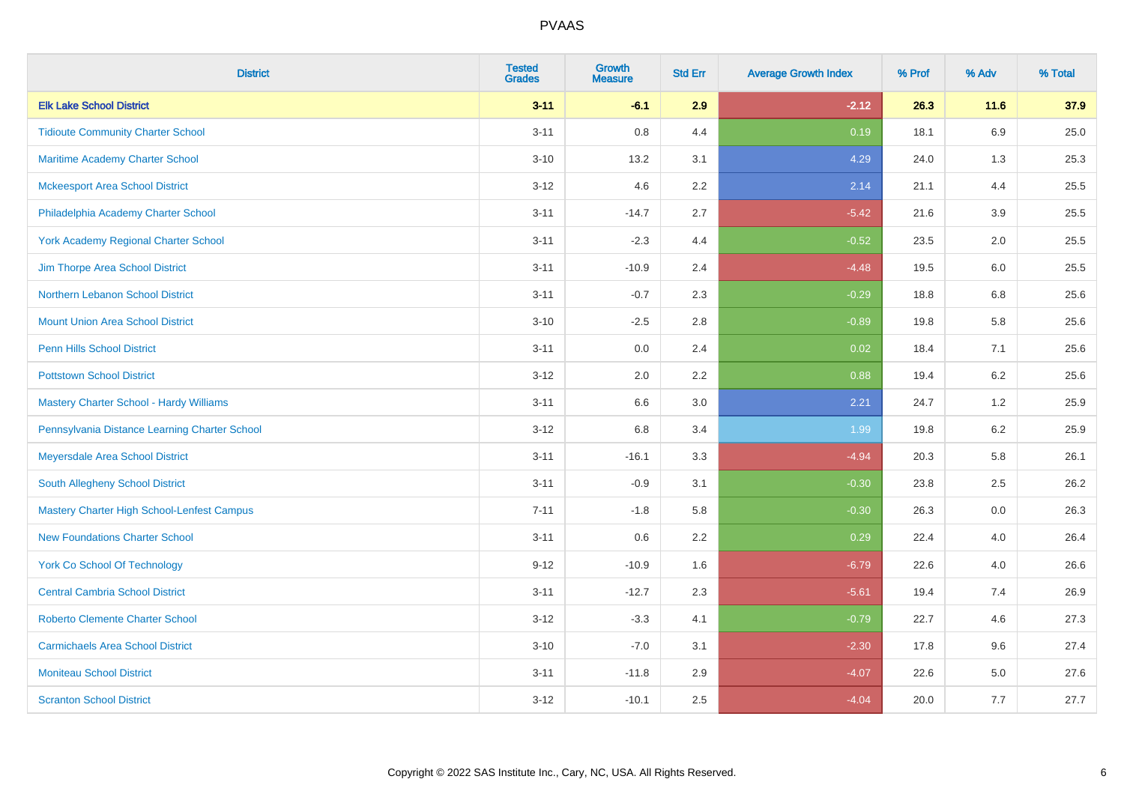| <b>District</b>                                | <b>Tested</b><br><b>Grades</b> | <b>Growth</b><br><b>Measure</b> | <b>Std Err</b> | <b>Average Growth Index</b> | % Prof | % Adv | % Total |
|------------------------------------------------|--------------------------------|---------------------------------|----------------|-----------------------------|--------|-------|---------|
| <b>Elk Lake School District</b>                | $3 - 11$                       | $-6.1$                          | 2.9            | $-2.12$                     | 26.3   | 11.6  | 37.9    |
| <b>Tidioute Community Charter School</b>       | $3 - 11$                       | 0.8                             | 4.4            | 0.19                        | 18.1   | 6.9   | 25.0    |
| Maritime Academy Charter School                | $3 - 10$                       | 13.2                            | 3.1            | 4.29                        | 24.0   | 1.3   | 25.3    |
| <b>Mckeesport Area School District</b>         | $3 - 12$                       | 4.6                             | 2.2            | 2.14                        | 21.1   | 4.4   | 25.5    |
| Philadelphia Academy Charter School            | $3 - 11$                       | $-14.7$                         | 2.7            | $-5.42$                     | 21.6   | 3.9   | 25.5    |
| <b>York Academy Regional Charter School</b>    | $3 - 11$                       | $-2.3$                          | 4.4            | $-0.52$                     | 23.5   | 2.0   | 25.5    |
| Jim Thorpe Area School District                | $3 - 11$                       | $-10.9$                         | 2.4            | $-4.48$                     | 19.5   | 6.0   | 25.5    |
| Northern Lebanon School District               | $3 - 11$                       | $-0.7$                          | 2.3            | $-0.29$                     | 18.8   | 6.8   | 25.6    |
| <b>Mount Union Area School District</b>        | $3 - 10$                       | $-2.5$                          | 2.8            | $-0.89$                     | 19.8   | 5.8   | 25.6    |
| <b>Penn Hills School District</b>              | $3 - 11$                       | 0.0                             | 2.4            | 0.02                        | 18.4   | 7.1   | 25.6    |
| <b>Pottstown School District</b>               | $3 - 12$                       | 2.0                             | 2.2            | 0.88                        | 19.4   | 6.2   | 25.6    |
| <b>Mastery Charter School - Hardy Williams</b> | $3 - 11$                       | 6.6                             | 3.0            | 2.21                        | 24.7   | 1.2   | 25.9    |
| Pennsylvania Distance Learning Charter School  | $3 - 12$                       | 6.8                             | 3.4            | 1.99                        | 19.8   | 6.2   | 25.9    |
| Meyersdale Area School District                | $3 - 11$                       | $-16.1$                         | 3.3            | $-4.94$                     | 20.3   | 5.8   | 26.1    |
| South Allegheny School District                | $3 - 11$                       | $-0.9$                          | 3.1            | $-0.30$                     | 23.8   | 2.5   | 26.2    |
| Mastery Charter High School-Lenfest Campus     | $7 - 11$                       | $-1.8$                          | 5.8            | $-0.30$                     | 26.3   | 0.0   | 26.3    |
| <b>New Foundations Charter School</b>          | $3 - 11$                       | 0.6                             | 2.2            | 0.29                        | 22.4   | 4.0   | 26.4    |
| <b>York Co School Of Technology</b>            | $9 - 12$                       | $-10.9$                         | 1.6            | $-6.79$                     | 22.6   | 4.0   | 26.6    |
| <b>Central Cambria School District</b>         | $3 - 11$                       | $-12.7$                         | 2.3            | $-5.61$                     | 19.4   | 7.4   | 26.9    |
| <b>Roberto Clemente Charter School</b>         | $3 - 12$                       | $-3.3$                          | 4.1            | $-0.79$                     | 22.7   | 4.6   | 27.3    |
| <b>Carmichaels Area School District</b>        | $3 - 10$                       | $-7.0$                          | 3.1            | $-2.30$                     | 17.8   | 9.6   | 27.4    |
| <b>Moniteau School District</b>                | $3 - 11$                       | $-11.8$                         | 2.9            | $-4.07$                     | 22.6   | 5.0   | 27.6    |
| <b>Scranton School District</b>                | $3 - 12$                       | $-10.1$                         | 2.5            | $-4.04$                     | 20.0   | 7.7   | 27.7    |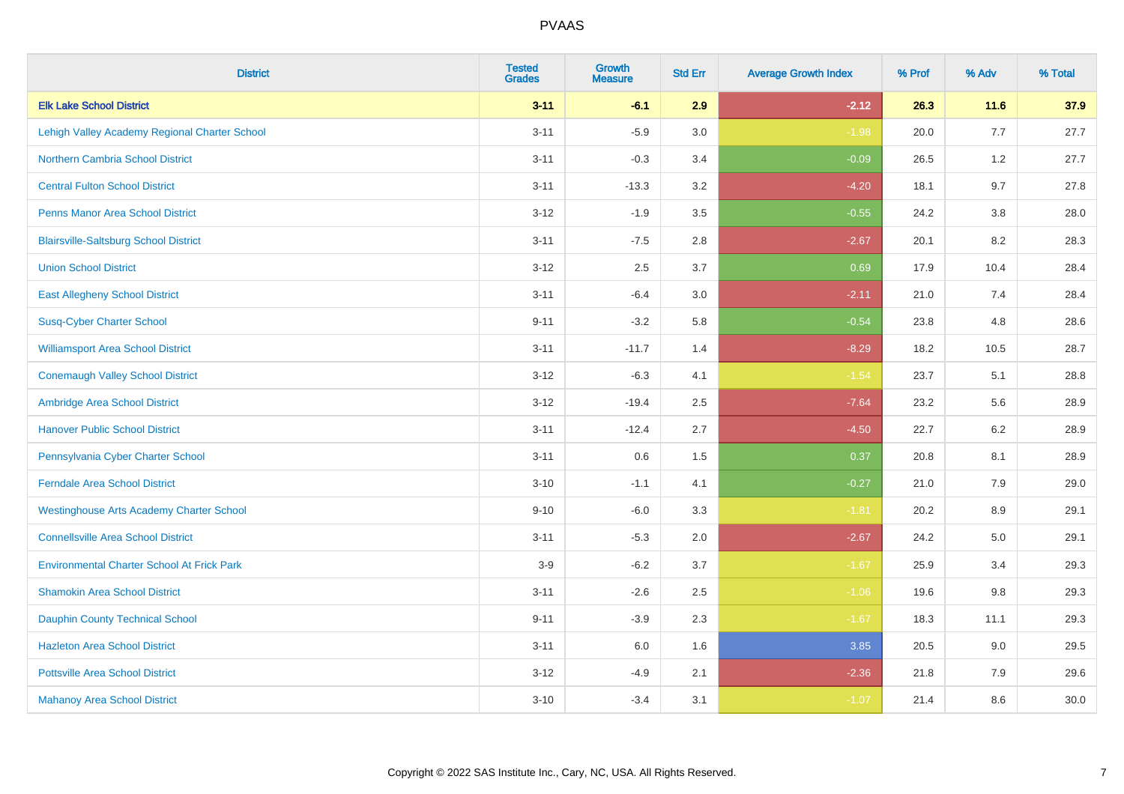| <b>District</b>                                   | <b>Tested</b><br><b>Grades</b> | <b>Growth</b><br><b>Measure</b> | <b>Std Err</b> | <b>Average Growth Index</b> | % Prof | % Adv   | % Total |
|---------------------------------------------------|--------------------------------|---------------------------------|----------------|-----------------------------|--------|---------|---------|
| <b>Elk Lake School District</b>                   | $3 - 11$                       | $-6.1$                          | 2.9            | $-2.12$                     | 26.3   | 11.6    | 37.9    |
| Lehigh Valley Academy Regional Charter School     | $3 - 11$                       | $-5.9$                          | 3.0            | $-1.98$                     | 20.0   | 7.7     | 27.7    |
| <b>Northern Cambria School District</b>           | $3 - 11$                       | $-0.3$                          | 3.4            | $-0.09$                     | 26.5   | 1.2     | 27.7    |
| <b>Central Fulton School District</b>             | $3 - 11$                       | $-13.3$                         | 3.2            | $-4.20$                     | 18.1   | 9.7     | 27.8    |
| <b>Penns Manor Area School District</b>           | $3 - 12$                       | $-1.9$                          | 3.5            | $-0.55$                     | 24.2   | 3.8     | 28.0    |
| <b>Blairsville-Saltsburg School District</b>      | $3 - 11$                       | $-7.5$                          | 2.8            | $-2.67$                     | 20.1   | 8.2     | 28.3    |
| <b>Union School District</b>                      | $3 - 12$                       | 2.5                             | 3.7            | 0.69                        | 17.9   | 10.4    | 28.4    |
| <b>East Allegheny School District</b>             | $3 - 11$                       | $-6.4$                          | 3.0            | $-2.11$                     | 21.0   | 7.4     | 28.4    |
| <b>Susq-Cyber Charter School</b>                  | $9 - 11$                       | $-3.2$                          | 5.8            | $-0.54$                     | 23.8   | 4.8     | 28.6    |
| <b>Williamsport Area School District</b>          | $3 - 11$                       | $-11.7$                         | 1.4            | $-8.29$                     | 18.2   | 10.5    | 28.7    |
| <b>Conemaugh Valley School District</b>           | $3 - 12$                       | $-6.3$                          | 4.1            | $-1.54$                     | 23.7   | 5.1     | 28.8    |
| Ambridge Area School District                     | $3 - 12$                       | $-19.4$                         | 2.5            | $-7.64$                     | 23.2   | 5.6     | 28.9    |
| <b>Hanover Public School District</b>             | $3 - 11$                       | $-12.4$                         | 2.7            | $-4.50$                     | 22.7   | $6.2\,$ | 28.9    |
| Pennsylvania Cyber Charter School                 | $3 - 11$                       | 0.6                             | 1.5            | 0.37                        | 20.8   | 8.1     | 28.9    |
| <b>Ferndale Area School District</b>              | $3 - 10$                       | $-1.1$                          | 4.1            | $-0.27$                     | 21.0   | 7.9     | 29.0    |
| <b>Westinghouse Arts Academy Charter School</b>   | $9 - 10$                       | $-6.0$                          | 3.3            | $-1.81$                     | 20.2   | 8.9     | 29.1    |
| <b>Connellsville Area School District</b>         | $3 - 11$                       | $-5.3$                          | 2.0            | $-2.67$                     | 24.2   | 5.0     | 29.1    |
| <b>Environmental Charter School At Frick Park</b> | $3-9$                          | $-6.2$                          | 3.7            | $-1.67$                     | 25.9   | 3.4     | 29.3    |
| <b>Shamokin Area School District</b>              | $3 - 11$                       | $-2.6$                          | 2.5            | $-1.06$                     | 19.6   | 9.8     | 29.3    |
| <b>Dauphin County Technical School</b>            | $9 - 11$                       | $-3.9$                          | 2.3            | $-1.67$                     | 18.3   | 11.1    | 29.3    |
| <b>Hazleton Area School District</b>              | $3 - 11$                       | 6.0                             | 1.6            | 3.85                        | 20.5   | 9.0     | 29.5    |
| <b>Pottsville Area School District</b>            | $3 - 12$                       | $-4.9$                          | 2.1            | $-2.36$                     | 21.8   | 7.9     | 29.6    |
| <b>Mahanoy Area School District</b>               | $3 - 10$                       | $-3.4$                          | 3.1            | $-1.07$                     | 21.4   | 8.6     | 30.0    |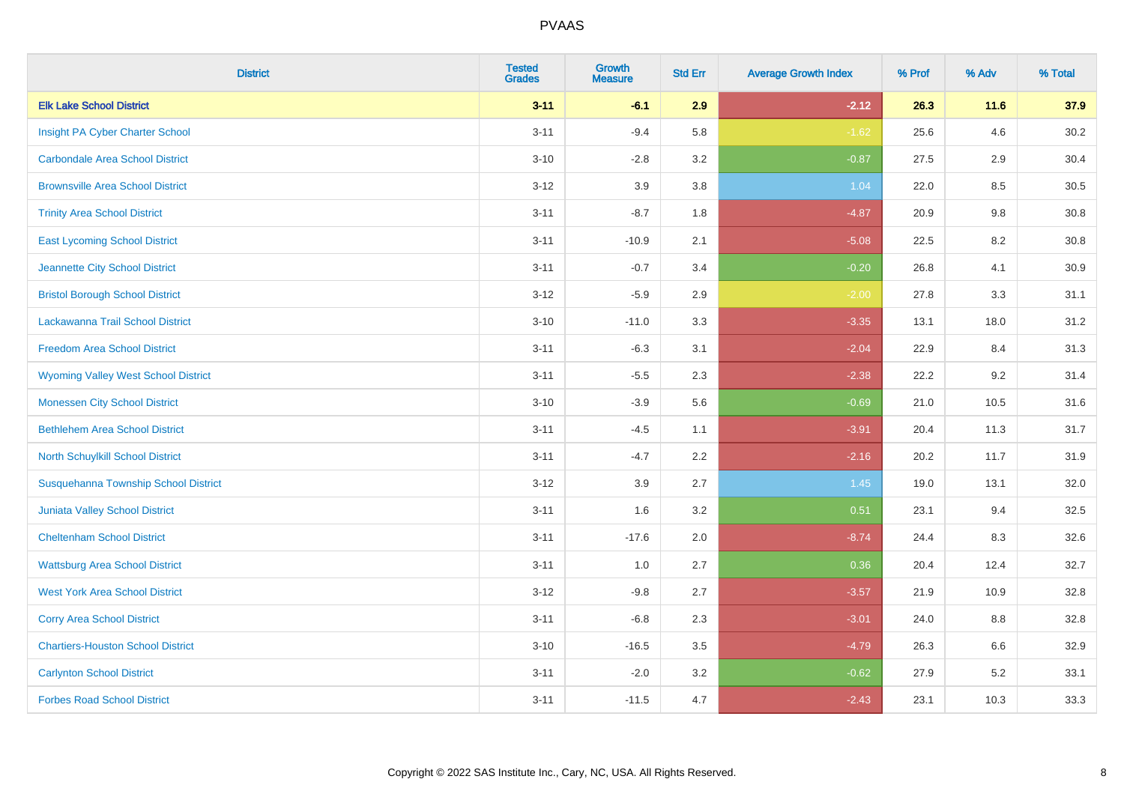| <b>District</b>                            | <b>Tested</b><br><b>Grades</b> | <b>Growth</b><br><b>Measure</b> | <b>Std Err</b> | <b>Average Growth Index</b> | % Prof | % Adv   | % Total  |
|--------------------------------------------|--------------------------------|---------------------------------|----------------|-----------------------------|--------|---------|----------|
| <b>Elk Lake School District</b>            | $3 - 11$                       | $-6.1$                          | 2.9            | $-2.12$                     | 26.3   | 11.6    | 37.9     |
| Insight PA Cyber Charter School            | $3 - 11$                       | $-9.4$                          | 5.8            | $-1.62$                     | 25.6   | 4.6     | 30.2     |
| <b>Carbondale Area School District</b>     | $3 - 10$                       | $-2.8$                          | 3.2            | $-0.87$                     | 27.5   | 2.9     | 30.4     |
| <b>Brownsville Area School District</b>    | $3 - 12$                       | 3.9                             | 3.8            | 1.04                        | 22.0   | $8.5\,$ | $30.5\,$ |
| <b>Trinity Area School District</b>        | $3 - 11$                       | $-8.7$                          | 1.8            | $-4.87$                     | 20.9   | 9.8     | 30.8     |
| <b>East Lycoming School District</b>       | $3 - 11$                       | $-10.9$                         | 2.1            | $-5.08$                     | 22.5   | 8.2     | 30.8     |
| Jeannette City School District             | $3 - 11$                       | $-0.7$                          | 3.4            | $-0.20$                     | 26.8   | 4.1     | 30.9     |
| <b>Bristol Borough School District</b>     | $3 - 12$                       | $-5.9$                          | 2.9            | $-2.00$                     | 27.8   | 3.3     | 31.1     |
| Lackawanna Trail School District           | $3 - 10$                       | $-11.0$                         | 3.3            | $-3.35$                     | 13.1   | 18.0    | 31.2     |
| <b>Freedom Area School District</b>        | $3 - 11$                       | $-6.3$                          | 3.1            | $-2.04$                     | 22.9   | 8.4     | 31.3     |
| <b>Wyoming Valley West School District</b> | $3 - 11$                       | $-5.5$                          | 2.3            | $-2.38$                     | 22.2   | 9.2     | 31.4     |
| <b>Monessen City School District</b>       | $3 - 10$                       | $-3.9$                          | 5.6            | $-0.69$                     | 21.0   | 10.5    | 31.6     |
| <b>Bethlehem Area School District</b>      | $3 - 11$                       | $-4.5$                          | 1.1            | $-3.91$                     | 20.4   | 11.3    | 31.7     |
| North Schuylkill School District           | $3 - 11$                       | $-4.7$                          | 2.2            | $-2.16$                     | 20.2   | 11.7    | 31.9     |
| Susquehanna Township School District       | $3 - 12$                       | 3.9                             | 2.7            | 1.45                        | 19.0   | 13.1    | 32.0     |
| <b>Juniata Valley School District</b>      | $3 - 11$                       | 1.6                             | 3.2            | 0.51                        | 23.1   | 9.4     | 32.5     |
| <b>Cheltenham School District</b>          | $3 - 11$                       | $-17.6$                         | 2.0            | $-8.74$                     | 24.4   | 8.3     | 32.6     |
| <b>Wattsburg Area School District</b>      | $3 - 11$                       | 1.0                             | 2.7            | 0.36                        | 20.4   | 12.4    | 32.7     |
| <b>West York Area School District</b>      | $3 - 12$                       | $-9.8$                          | 2.7            | $-3.57$                     | 21.9   | 10.9    | 32.8     |
| <b>Corry Area School District</b>          | $3 - 11$                       | $-6.8$                          | 2.3            | $-3.01$                     | 24.0   | 8.8     | 32.8     |
| <b>Chartiers-Houston School District</b>   | $3 - 10$                       | $-16.5$                         | 3.5            | $-4.79$                     | 26.3   | 6.6     | 32.9     |
| <b>Carlynton School District</b>           | $3 - 11$                       | $-2.0$                          | 3.2            | $-0.62$                     | 27.9   | 5.2     | 33.1     |
| <b>Forbes Road School District</b>         | $3 - 11$                       | $-11.5$                         | 4.7            | $-2.43$                     | 23.1   | 10.3    | 33.3     |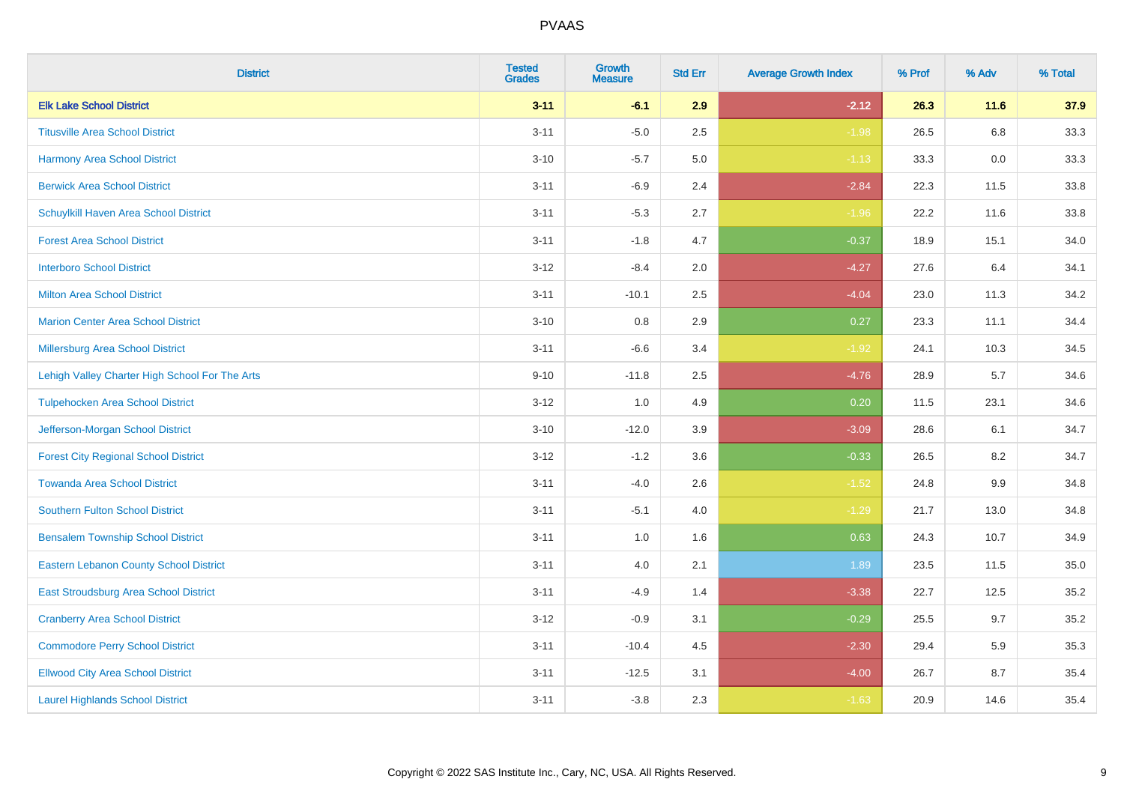| <b>District</b>                                | <b>Tested</b><br><b>Grades</b> | <b>Growth</b><br><b>Measure</b> | <b>Std Err</b> | <b>Average Growth Index</b> | % Prof | % Adv  | % Total |
|------------------------------------------------|--------------------------------|---------------------------------|----------------|-----------------------------|--------|--------|---------|
| <b>Elk Lake School District</b>                | $3 - 11$                       | $-6.1$                          | 2.9            | $-2.12$                     | 26.3   | $11.6$ | 37.9    |
| <b>Titusville Area School District</b>         | $3 - 11$                       | $-5.0$                          | 2.5            | $-1.98$                     | 26.5   | 6.8    | 33.3    |
| <b>Harmony Area School District</b>            | $3 - 10$                       | $-5.7$                          | 5.0            | $-1.13$                     | 33.3   | 0.0    | 33.3    |
| <b>Berwick Area School District</b>            | $3 - 11$                       | $-6.9$                          | 2.4            | $-2.84$                     | 22.3   | 11.5   | 33.8    |
| Schuylkill Haven Area School District          | $3 - 11$                       | $-5.3$                          | 2.7            | $-1.96$                     | 22.2   | 11.6   | 33.8    |
| <b>Forest Area School District</b>             | $3 - 11$                       | $-1.8$                          | 4.7            | $-0.37$                     | 18.9   | 15.1   | 34.0    |
| <b>Interboro School District</b>               | $3 - 12$                       | $-8.4$                          | 2.0            | $-4.27$                     | 27.6   | 6.4    | 34.1    |
| <b>Milton Area School District</b>             | $3 - 11$                       | $-10.1$                         | 2.5            | $-4.04$                     | 23.0   | 11.3   | 34.2    |
| <b>Marion Center Area School District</b>      | $3 - 10$                       | 0.8                             | 2.9            | 0.27                        | 23.3   | 11.1   | 34.4    |
| <b>Millersburg Area School District</b>        | $3 - 11$                       | $-6.6$                          | 3.4            | $-1.92$                     | 24.1   | 10.3   | 34.5    |
| Lehigh Valley Charter High School For The Arts | $9 - 10$                       | $-11.8$                         | 2.5            | $-4.76$                     | 28.9   | 5.7    | 34.6    |
| <b>Tulpehocken Area School District</b>        | $3 - 12$                       | 1.0                             | 4.9            | 0.20                        | 11.5   | 23.1   | 34.6    |
| Jefferson-Morgan School District               | $3 - 10$                       | $-12.0$                         | 3.9            | $-3.09$                     | 28.6   | 6.1    | 34.7    |
| <b>Forest City Regional School District</b>    | $3 - 12$                       | $-1.2$                          | 3.6            | $-0.33$                     | 26.5   | 8.2    | 34.7    |
| <b>Towanda Area School District</b>            | $3 - 11$                       | $-4.0$                          | 2.6            | $-1.52$                     | 24.8   | 9.9    | 34.8    |
| <b>Southern Fulton School District</b>         | $3 - 11$                       | $-5.1$                          | 4.0            | $-1.29$                     | 21.7   | 13.0   | 34.8    |
| <b>Bensalem Township School District</b>       | $3 - 11$                       | 1.0                             | 1.6            | 0.63                        | 24.3   | 10.7   | 34.9    |
| <b>Eastern Lebanon County School District</b>  | $3 - 11$                       | 4.0                             | 2.1            | 1.89                        | 23.5   | 11.5   | 35.0    |
| East Stroudsburg Area School District          | $3 - 11$                       | $-4.9$                          | 1.4            | $-3.38$                     | 22.7   | 12.5   | 35.2    |
| <b>Cranberry Area School District</b>          | $3 - 12$                       | $-0.9$                          | 3.1            | $-0.29$                     | 25.5   | 9.7    | 35.2    |
| <b>Commodore Perry School District</b>         | $3 - 11$                       | $-10.4$                         | 4.5            | $-2.30$                     | 29.4   | 5.9    | 35.3    |
| <b>Ellwood City Area School District</b>       | $3 - 11$                       | $-12.5$                         | 3.1            | $-4.00$                     | 26.7   | 8.7    | 35.4    |
| <b>Laurel Highlands School District</b>        | $3 - 11$                       | $-3.8$                          | 2.3            | $-1.63$                     | 20.9   | 14.6   | 35.4    |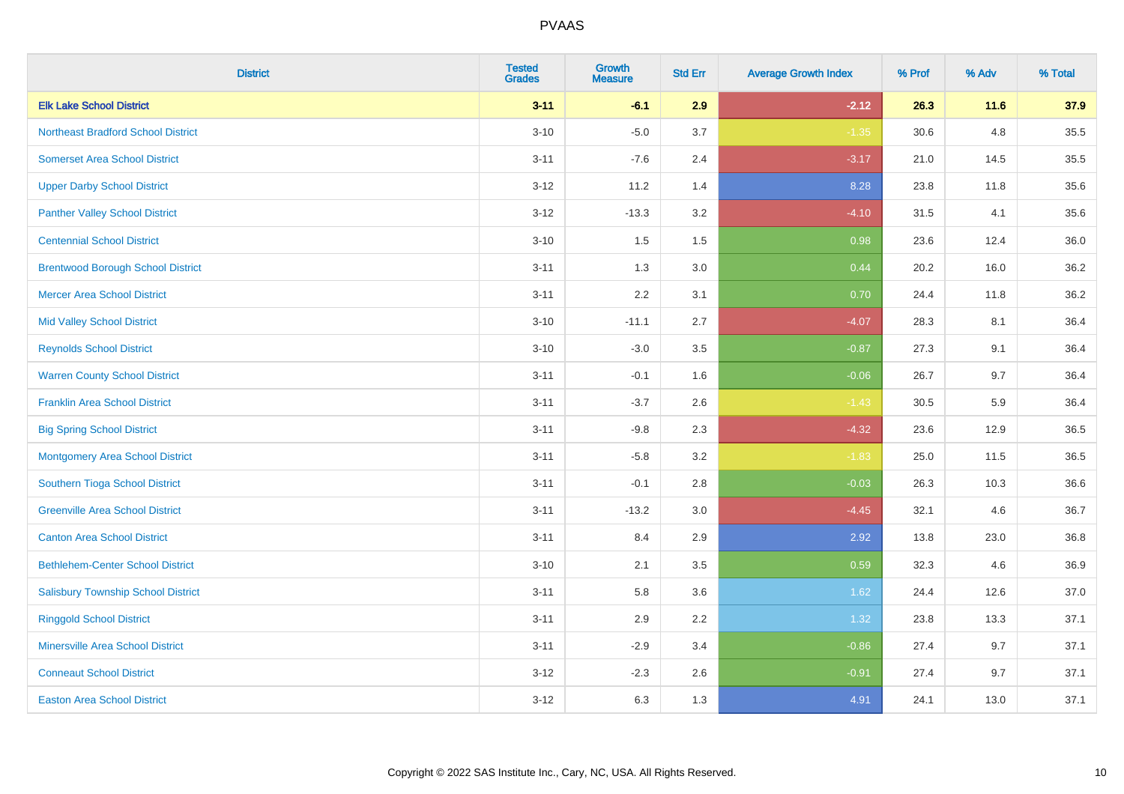| <b>District</b>                           | <b>Tested</b><br><b>Grades</b> | <b>Growth</b><br><b>Measure</b> | <b>Std Err</b> | <b>Average Growth Index</b> | % Prof | % Adv  | % Total |
|-------------------------------------------|--------------------------------|---------------------------------|----------------|-----------------------------|--------|--------|---------|
| <b>Elk Lake School District</b>           | $3 - 11$                       | $-6.1$                          | 2.9            | $-2.12$                     | 26.3   | $11.6$ | 37.9    |
| <b>Northeast Bradford School District</b> | $3 - 10$                       | $-5.0$                          | 3.7            | $-1.35$                     | 30.6   | 4.8    | 35.5    |
| <b>Somerset Area School District</b>      | $3 - 11$                       | $-7.6$                          | 2.4            | $-3.17$                     | 21.0   | 14.5   | 35.5    |
| <b>Upper Darby School District</b>        | $3 - 12$                       | 11.2                            | 1.4            | 8.28                        | 23.8   | 11.8   | 35.6    |
| <b>Panther Valley School District</b>     | $3-12$                         | $-13.3$                         | 3.2            | $-4.10$                     | 31.5   | 4.1    | 35.6    |
| <b>Centennial School District</b>         | $3 - 10$                       | 1.5                             | 1.5            | 0.98                        | 23.6   | 12.4   | 36.0    |
| <b>Brentwood Borough School District</b>  | $3 - 11$                       | 1.3                             | 3.0            | 0.44                        | 20.2   | 16.0   | 36.2    |
| <b>Mercer Area School District</b>        | $3 - 11$                       | 2.2                             | 3.1            | 0.70                        | 24.4   | 11.8   | 36.2    |
| <b>Mid Valley School District</b>         | $3 - 10$                       | $-11.1$                         | 2.7            | $-4.07$                     | 28.3   | 8.1    | 36.4    |
| <b>Reynolds School District</b>           | $3 - 10$                       | $-3.0$                          | 3.5            | $-0.87$                     | 27.3   | 9.1    | 36.4    |
| <b>Warren County School District</b>      | $3 - 11$                       | $-0.1$                          | 1.6            | $-0.06$                     | 26.7   | 9.7    | 36.4    |
| <b>Franklin Area School District</b>      | $3 - 11$                       | $-3.7$                          | 2.6            | $-1.43$                     | 30.5   | 5.9    | 36.4    |
| <b>Big Spring School District</b>         | $3 - 11$                       | $-9.8$                          | 2.3            | $-4.32$                     | 23.6   | 12.9   | 36.5    |
| <b>Montgomery Area School District</b>    | $3 - 11$                       | $-5.8$                          | 3.2            | $-1.83$                     | 25.0   | 11.5   | 36.5    |
| Southern Tioga School District            | $3 - 11$                       | $-0.1$                          | 2.8            | $-0.03$                     | 26.3   | 10.3   | 36.6    |
| <b>Greenville Area School District</b>    | $3 - 11$                       | $-13.2$                         | 3.0            | $-4.45$                     | 32.1   | 4.6    | 36.7    |
| <b>Canton Area School District</b>        | $3 - 11$                       | 8.4                             | 2.9            | 2.92                        | 13.8   | 23.0   | 36.8    |
| <b>Bethlehem-Center School District</b>   | $3 - 10$                       | 2.1                             | 3.5            | 0.59                        | 32.3   | 4.6    | 36.9    |
| <b>Salisbury Township School District</b> | $3 - 11$                       | 5.8                             | 3.6            | 1.62                        | 24.4   | 12.6   | 37.0    |
| <b>Ringgold School District</b>           | $3 - 11$                       | 2.9                             | 2.2            | 1.32                        | 23.8   | 13.3   | 37.1    |
| <b>Minersville Area School District</b>   | $3 - 11$                       | $-2.9$                          | 3.4            | $-0.86$                     | 27.4   | 9.7    | 37.1    |
| <b>Conneaut School District</b>           | $3 - 12$                       | $-2.3$                          | 2.6            | $-0.91$                     | 27.4   | 9.7    | 37.1    |
| <b>Easton Area School District</b>        | $3-12$                         | 6.3                             | 1.3            | 4.91                        | 24.1   | 13.0   | 37.1    |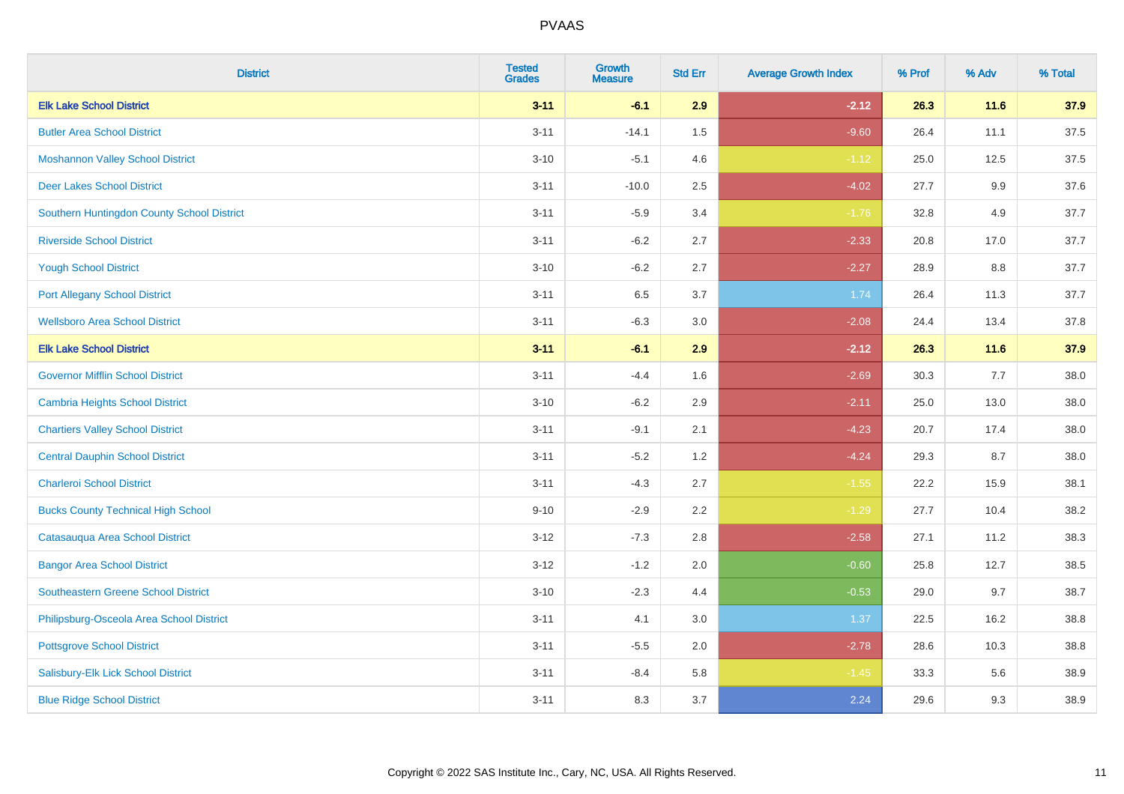| <b>District</b>                            | <b>Tested</b><br><b>Grades</b> | <b>Growth</b><br><b>Measure</b> | <b>Std Err</b> | <b>Average Growth Index</b> | % Prof | % Adv  | % Total |
|--------------------------------------------|--------------------------------|---------------------------------|----------------|-----------------------------|--------|--------|---------|
| <b>Elk Lake School District</b>            | $3 - 11$                       | $-6.1$                          | 2.9            | $-2.12$                     | 26.3   | 11.6   | 37.9    |
| <b>Butler Area School District</b>         | $3 - 11$                       | $-14.1$                         | 1.5            | $-9.60$                     | 26.4   | 11.1   | 37.5    |
| <b>Moshannon Valley School District</b>    | $3 - 10$                       | $-5.1$                          | 4.6            | $-1.12$                     | 25.0   | 12.5   | 37.5    |
| <b>Deer Lakes School District</b>          | $3 - 11$                       | $-10.0$                         | 2.5            | $-4.02$                     | 27.7   | 9.9    | 37.6    |
| Southern Huntingdon County School District | $3 - 11$                       | $-5.9$                          | 3.4            | $-1.76$                     | 32.8   | 4.9    | 37.7    |
| <b>Riverside School District</b>           | $3 - 11$                       | $-6.2$                          | 2.7            | $-2.33$                     | 20.8   | 17.0   | 37.7    |
| <b>Yough School District</b>               | $3 - 10$                       | $-6.2$                          | 2.7            | $-2.27$                     | 28.9   | 8.8    | 37.7    |
| <b>Port Allegany School District</b>       | $3 - 11$                       | 6.5                             | 3.7            | 1.74                        | 26.4   | 11.3   | 37.7    |
| <b>Wellsboro Area School District</b>      | $3 - 11$                       | $-6.3$                          | 3.0            | $-2.08$                     | 24.4   | 13.4   | 37.8    |
| <b>Elk Lake School District</b>            | $3 - 11$                       | $-6.1$                          | 2.9            | $-2.12$                     | 26.3   | $11.6$ | 37.9    |
| <b>Governor Mifflin School District</b>    | $3 - 11$                       | $-4.4$                          | 1.6            | $-2.69$                     | 30.3   | 7.7    | 38.0    |
| <b>Cambria Heights School District</b>     | $3 - 10$                       | $-6.2$                          | 2.9            | $-2.11$                     | 25.0   | 13.0   | 38.0    |
| <b>Chartiers Valley School District</b>    | $3 - 11$                       | $-9.1$                          | 2.1            | $-4.23$                     | 20.7   | 17.4   | 38.0    |
| <b>Central Dauphin School District</b>     | $3 - 11$                       | $-5.2$                          | 1.2            | $-4.24$                     | 29.3   | 8.7    | 38.0    |
| <b>Charleroi School District</b>           | $3 - 11$                       | $-4.3$                          | 2.7            | $-1.55$                     | 22.2   | 15.9   | 38.1    |
| <b>Bucks County Technical High School</b>  | $9 - 10$                       | $-2.9$                          | 2.2            | $-1.29$                     | 27.7   | 10.4   | 38.2    |
| Catasauqua Area School District            | $3 - 12$                       | $-7.3$                          | 2.8            | $-2.58$                     | 27.1   | 11.2   | 38.3    |
| <b>Bangor Area School District</b>         | $3 - 12$                       | $-1.2$                          | 2.0            | $-0.60$                     | 25.8   | 12.7   | 38.5    |
| <b>Southeastern Greene School District</b> | $3 - 10$                       | $-2.3$                          | 4.4            | $-0.53$                     | 29.0   | 9.7    | 38.7    |
| Philipsburg-Osceola Area School District   | $3 - 11$                       | 4.1                             | 3.0            | 1.37                        | 22.5   | 16.2   | 38.8    |
| <b>Pottsgrove School District</b>          | $3 - 11$                       | $-5.5$                          | 2.0            | $-2.78$                     | 28.6   | 10.3   | 38.8    |
| Salisbury-Elk Lick School District         | $3 - 11$                       | $-8.4$                          | 5.8            | $-1.45$                     | 33.3   | 5.6    | 38.9    |
| <b>Blue Ridge School District</b>          | $3 - 11$                       | 8.3                             | 3.7            | 2.24                        | 29.6   | 9.3    | 38.9    |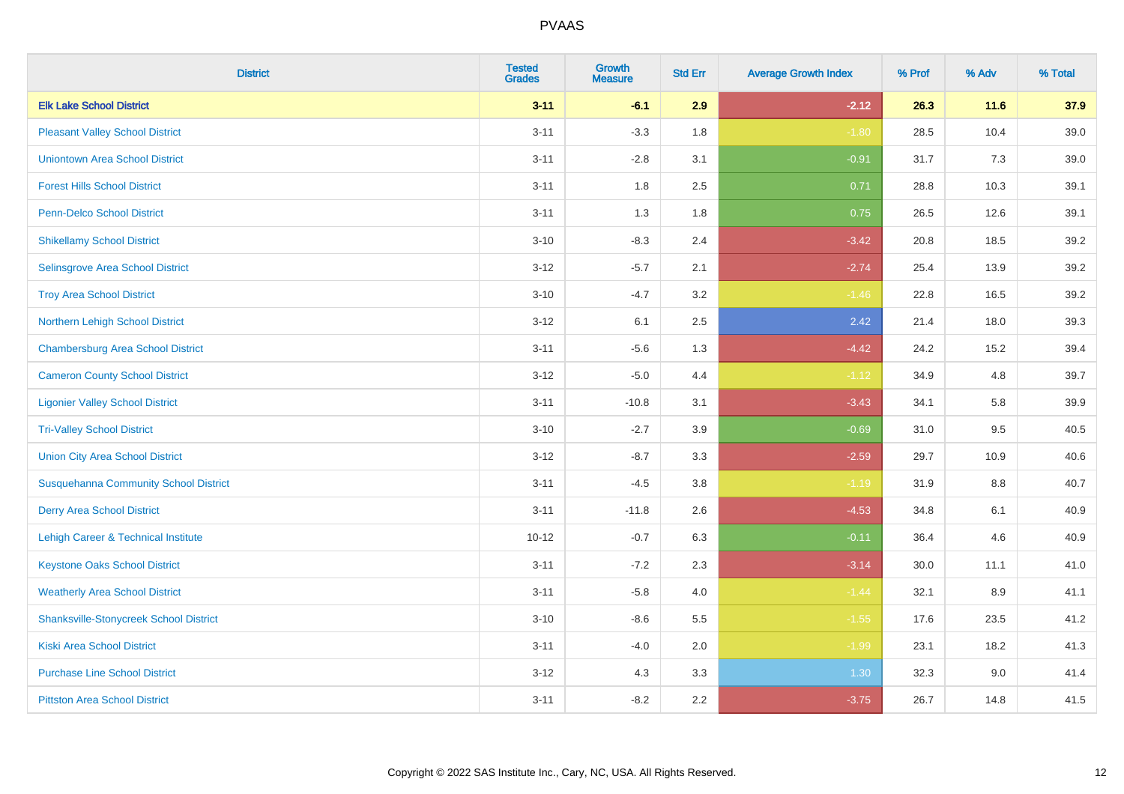| <b>District</b>                               | <b>Tested</b><br><b>Grades</b> | <b>Growth</b><br><b>Measure</b> | <b>Std Err</b> | <b>Average Growth Index</b> | % Prof | % Adv | % Total |
|-----------------------------------------------|--------------------------------|---------------------------------|----------------|-----------------------------|--------|-------|---------|
| <b>Elk Lake School District</b>               | $3 - 11$                       | $-6.1$                          | 2.9            | $-2.12$                     | 26.3   | 11.6  | 37.9    |
| <b>Pleasant Valley School District</b>        | $3 - 11$                       | $-3.3$                          | 1.8            | $-1.80$                     | 28.5   | 10.4  | 39.0    |
| <b>Uniontown Area School District</b>         | $3 - 11$                       | $-2.8$                          | 3.1            | $-0.91$                     | 31.7   | 7.3   | 39.0    |
| <b>Forest Hills School District</b>           | $3 - 11$                       | 1.8                             | 2.5            | 0.71                        | 28.8   | 10.3  | 39.1    |
| Penn-Delco School District                    | $3 - 11$                       | 1.3                             | 1.8            | 0.75                        | 26.5   | 12.6  | 39.1    |
| <b>Shikellamy School District</b>             | $3 - 10$                       | $-8.3$                          | 2.4            | $-3.42$                     | 20.8   | 18.5  | 39.2    |
| Selinsgrove Area School District              | $3 - 12$                       | $-5.7$                          | 2.1            | $-2.74$                     | 25.4   | 13.9  | 39.2    |
| <b>Troy Area School District</b>              | $3 - 10$                       | $-4.7$                          | 3.2            | $-1.46$                     | 22.8   | 16.5  | 39.2    |
| Northern Lehigh School District               | $3 - 12$                       | 6.1                             | 2.5            | 2.42                        | 21.4   | 18.0  | 39.3    |
| <b>Chambersburg Area School District</b>      | $3 - 11$                       | $-5.6$                          | 1.3            | $-4.42$                     | 24.2   | 15.2  | 39.4    |
| <b>Cameron County School District</b>         | $3-12$                         | $-5.0$                          | 4.4            | $-1.12$                     | 34.9   | 4.8   | 39.7    |
| <b>Ligonier Valley School District</b>        | $3 - 11$                       | $-10.8$                         | 3.1            | $-3.43$                     | 34.1   | 5.8   | 39.9    |
| <b>Tri-Valley School District</b>             | $3 - 10$                       | $-2.7$                          | 3.9            | $-0.69$                     | 31.0   | 9.5   | 40.5    |
| <b>Union City Area School District</b>        | $3 - 12$                       | $-8.7$                          | 3.3            | $-2.59$                     | 29.7   | 10.9  | 40.6    |
| <b>Susquehanna Community School District</b>  | $3 - 11$                       | $-4.5$                          | 3.8            | $-1.19$                     | 31.9   | 8.8   | 40.7    |
| <b>Derry Area School District</b>             | $3 - 11$                       | $-11.8$                         | 2.6            | $-4.53$                     | 34.8   | 6.1   | 40.9    |
| Lehigh Career & Technical Institute           | $10 - 12$                      | $-0.7$                          | 6.3            | $-0.11$                     | 36.4   | 4.6   | 40.9    |
| <b>Keystone Oaks School District</b>          | $3 - 11$                       | $-7.2$                          | 2.3            | $-3.14$                     | 30.0   | 11.1  | 41.0    |
| <b>Weatherly Area School District</b>         | $3 - 11$                       | $-5.8$                          | 4.0            | $-1.44$                     | 32.1   | 8.9   | 41.1    |
| <b>Shanksville-Stonycreek School District</b> | $3 - 10$                       | $-8.6$                          | 5.5            | $-1.55$                     | 17.6   | 23.5  | 41.2    |
| <b>Kiski Area School District</b>             | $3 - 11$                       | $-4.0$                          | 2.0            | $-1.99$                     | 23.1   | 18.2  | 41.3    |
| <b>Purchase Line School District</b>          | $3 - 12$                       | 4.3                             | 3.3            | 1.30                        | 32.3   | 9.0   | 41.4    |
| <b>Pittston Area School District</b>          | $3 - 11$                       | $-8.2$                          | 2.2            | $-3.75$                     | 26.7   | 14.8  | 41.5    |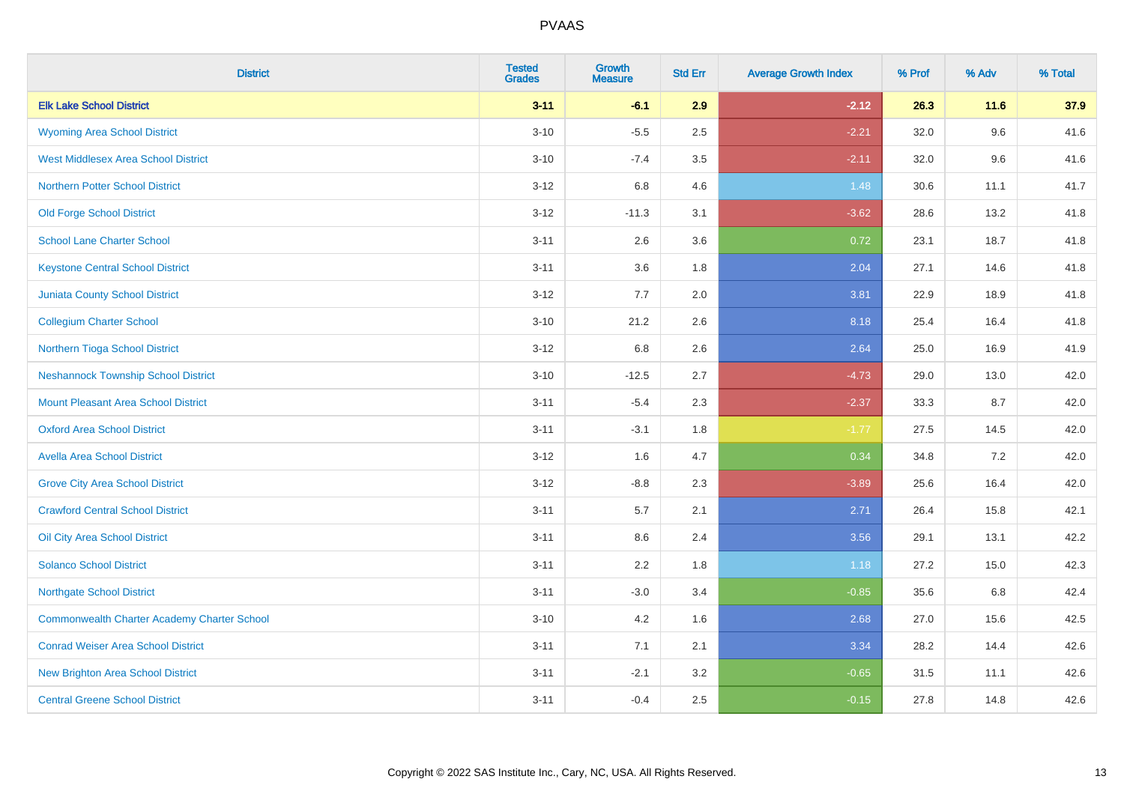| <b>District</b>                                    | <b>Tested</b><br><b>Grades</b> | <b>Growth</b><br><b>Measure</b> | <b>Std Err</b> | <b>Average Growth Index</b> | % Prof | % Adv | % Total |
|----------------------------------------------------|--------------------------------|---------------------------------|----------------|-----------------------------|--------|-------|---------|
| <b>Elk Lake School District</b>                    | $3 - 11$                       | $-6.1$                          | 2.9            | $-2.12$                     | 26.3   | 11.6  | 37.9    |
| <b>Wyoming Area School District</b>                | $3 - 10$                       | $-5.5$                          | 2.5            | $-2.21$                     | 32.0   | 9.6   | 41.6    |
| <b>West Middlesex Area School District</b>         | $3 - 10$                       | $-7.4$                          | 3.5            | $-2.11$                     | 32.0   | 9.6   | 41.6    |
| <b>Northern Potter School District</b>             | $3 - 12$                       | $6.8\,$                         | 4.6            | 1.48                        | 30.6   | 11.1  | 41.7    |
| <b>Old Forge School District</b>                   | $3 - 12$                       | $-11.3$                         | 3.1            | $-3.62$                     | 28.6   | 13.2  | 41.8    |
| <b>School Lane Charter School</b>                  | $3 - 11$                       | 2.6                             | 3.6            | 0.72                        | 23.1   | 18.7  | 41.8    |
| <b>Keystone Central School District</b>            | $3 - 11$                       | 3.6                             | 1.8            | 2.04                        | 27.1   | 14.6  | 41.8    |
| <b>Juniata County School District</b>              | $3 - 12$                       | 7.7                             | 2.0            | 3.81                        | 22.9   | 18.9  | 41.8    |
| <b>Collegium Charter School</b>                    | $3 - 10$                       | 21.2                            | 2.6            | 8.18                        | 25.4   | 16.4  | 41.8    |
| Northern Tioga School District                     | $3 - 12$                       | $6.8\,$                         | 2.6            | 2.64                        | 25.0   | 16.9  | 41.9    |
| <b>Neshannock Township School District</b>         | $3 - 10$                       | $-12.5$                         | 2.7            | $-4.73$                     | 29.0   | 13.0  | 42.0    |
| <b>Mount Pleasant Area School District</b>         | $3 - 11$                       | $-5.4$                          | 2.3            | $-2.37$                     | 33.3   | 8.7   | 42.0    |
| <b>Oxford Area School District</b>                 | $3 - 11$                       | $-3.1$                          | 1.8            | $-1.77$                     | 27.5   | 14.5  | 42.0    |
| <b>Avella Area School District</b>                 | $3 - 12$                       | 1.6                             | 4.7            | 0.34                        | 34.8   | 7.2   | 42.0    |
| <b>Grove City Area School District</b>             | $3 - 12$                       | $-8.8$                          | 2.3            | $-3.89$                     | 25.6   | 16.4  | 42.0    |
| <b>Crawford Central School District</b>            | $3 - 11$                       | 5.7                             | 2.1            | 2.71                        | 26.4   | 15.8  | 42.1    |
| Oil City Area School District                      | $3 - 11$                       | 8.6                             | 2.4            | 3.56                        | 29.1   | 13.1  | 42.2    |
| <b>Solanco School District</b>                     | $3 - 11$                       | 2.2                             | 1.8            | 1.18                        | 27.2   | 15.0  | 42.3    |
| <b>Northgate School District</b>                   | $3 - 11$                       | $-3.0$                          | 3.4            | $-0.85$                     | 35.6   | 6.8   | 42.4    |
| <b>Commonwealth Charter Academy Charter School</b> | $3 - 10$                       | 4.2                             | 1.6            | 2.68                        | 27.0   | 15.6  | 42.5    |
| <b>Conrad Weiser Area School District</b>          | $3 - 11$                       | 7.1                             | 2.1            | 3.34                        | 28.2   | 14.4  | 42.6    |
| <b>New Brighton Area School District</b>           | $3 - 11$                       | $-2.1$                          | 3.2            | $-0.65$                     | 31.5   | 11.1  | 42.6    |
| <b>Central Greene School District</b>              | $3 - 11$                       | $-0.4$                          | 2.5            | $-0.15$                     | 27.8   | 14.8  | 42.6    |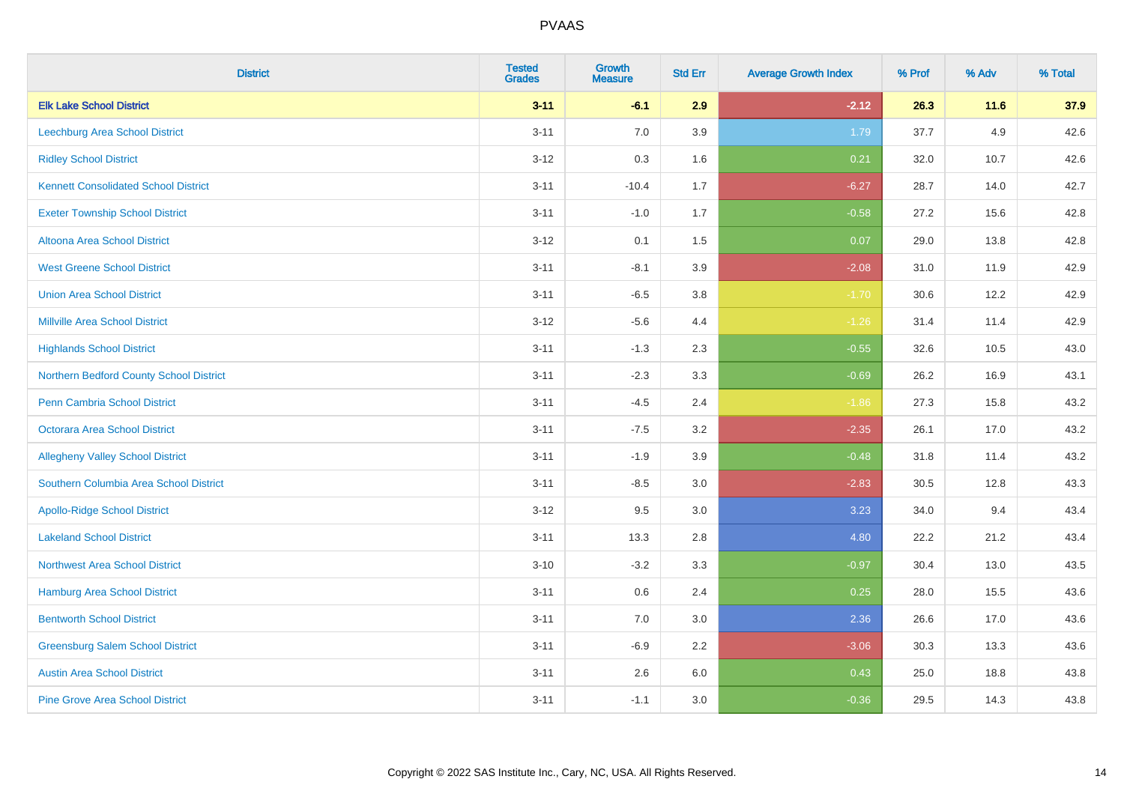| <b>District</b>                             | <b>Tested</b><br><b>Grades</b> | <b>Growth</b><br><b>Measure</b> | <b>Std Err</b> | <b>Average Growth Index</b> | % Prof | % Adv  | % Total |
|---------------------------------------------|--------------------------------|---------------------------------|----------------|-----------------------------|--------|--------|---------|
| <b>Elk Lake School District</b>             | $3 - 11$                       | $-6.1$                          | 2.9            | $-2.12$                     | 26.3   | $11.6$ | 37.9    |
| <b>Leechburg Area School District</b>       | $3 - 11$                       | 7.0                             | 3.9            | 1.79                        | 37.7   | 4.9    | 42.6    |
| <b>Ridley School District</b>               | $3 - 12$                       | 0.3                             | 1.6            | 0.21                        | 32.0   | 10.7   | 42.6    |
| <b>Kennett Consolidated School District</b> | $3 - 11$                       | $-10.4$                         | 1.7            | $-6.27$                     | 28.7   | 14.0   | 42.7    |
| <b>Exeter Township School District</b>      | $3 - 11$                       | $-1.0$                          | 1.7            | $-0.58$                     | 27.2   | 15.6   | 42.8    |
| <b>Altoona Area School District</b>         | $3 - 12$                       | 0.1                             | 1.5            | 0.07                        | 29.0   | 13.8   | 42.8    |
| <b>West Greene School District</b>          | $3 - 11$                       | $-8.1$                          | 3.9            | $-2.08$                     | 31.0   | 11.9   | 42.9    |
| <b>Union Area School District</b>           | $3 - 11$                       | $-6.5$                          | 3.8            | $-1.70$                     | 30.6   | 12.2   | 42.9    |
| <b>Millville Area School District</b>       | $3 - 12$                       | $-5.6$                          | 4.4            | $-1.26$                     | 31.4   | 11.4   | 42.9    |
| <b>Highlands School District</b>            | $3 - 11$                       | $-1.3$                          | $2.3\,$        | $-0.55$                     | 32.6   | 10.5   | 43.0    |
| Northern Bedford County School District     | $3 - 11$                       | $-2.3$                          | 3.3            | $-0.69$                     | 26.2   | 16.9   | 43.1    |
| <b>Penn Cambria School District</b>         | $3 - 11$                       | $-4.5$                          | 2.4            | $-1.86$                     | 27.3   | 15.8   | 43.2    |
| Octorara Area School District               | $3 - 11$                       | $-7.5$                          | 3.2            | $-2.35$                     | 26.1   | 17.0   | 43.2    |
| <b>Allegheny Valley School District</b>     | $3 - 11$                       | $-1.9$                          | 3.9            | $-0.48$                     | 31.8   | 11.4   | 43.2    |
| Southern Columbia Area School District      | $3 - 11$                       | $-8.5$                          | $3.0\,$        | $-2.83$                     | 30.5   | 12.8   | 43.3    |
| <b>Apollo-Ridge School District</b>         | $3 - 12$                       | 9.5                             | 3.0            | 3.23                        | 34.0   | 9.4    | 43.4    |
| <b>Lakeland School District</b>             | $3 - 11$                       | 13.3                            | 2.8            | 4.80                        | 22.2   | 21.2   | 43.4    |
| <b>Northwest Area School District</b>       | $3 - 10$                       | $-3.2$                          | 3.3            | $-0.97$                     | 30.4   | 13.0   | 43.5    |
| <b>Hamburg Area School District</b>         | $3 - 11$                       | 0.6                             | 2.4            | 0.25                        | 28.0   | 15.5   | 43.6    |
| <b>Bentworth School District</b>            | $3 - 11$                       | 7.0                             | 3.0            | 2.36                        | 26.6   | 17.0   | 43.6    |
| <b>Greensburg Salem School District</b>     | $3 - 11$                       | $-6.9$                          | 2.2            | $-3.06$                     | 30.3   | 13.3   | 43.6    |
| <b>Austin Area School District</b>          | $3 - 11$                       | 2.6                             | 6.0            | 0.43                        | 25.0   | 18.8   | 43.8    |
| <b>Pine Grove Area School District</b>      | $3 - 11$                       | $-1.1$                          | 3.0            | $-0.36$                     | 29.5   | 14.3   | 43.8    |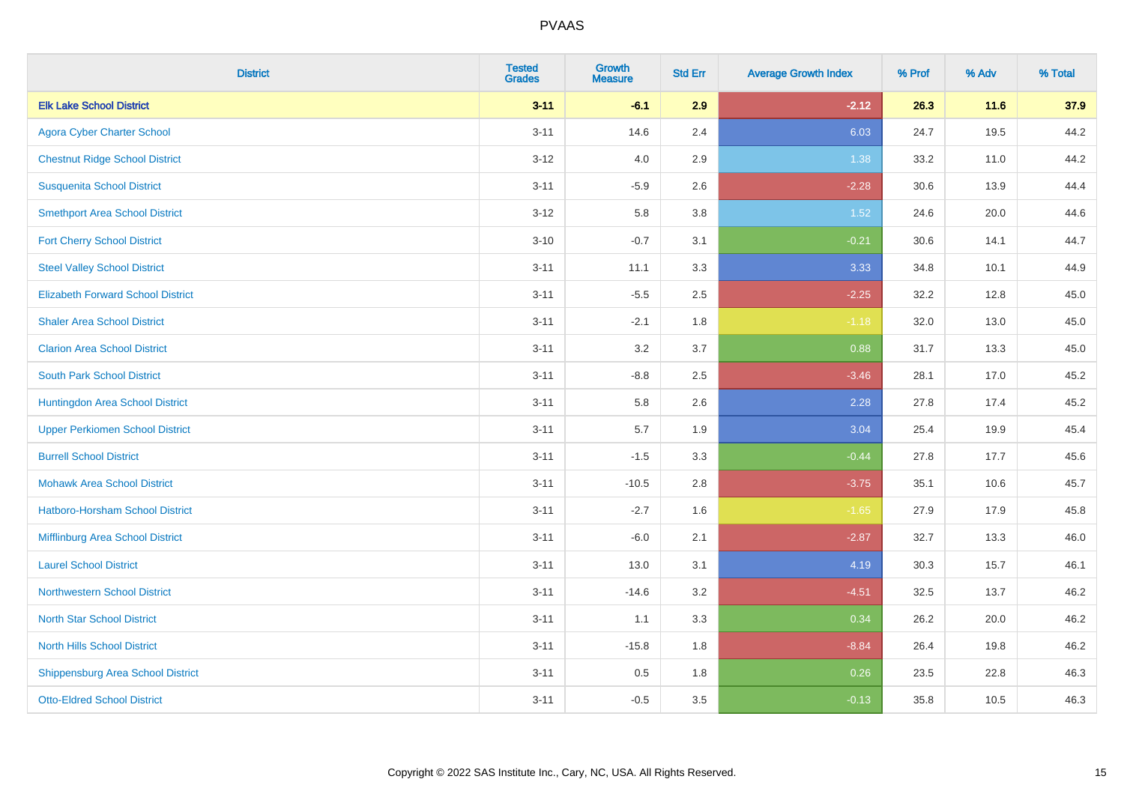| <b>District</b>                          | <b>Tested</b><br><b>Grades</b> | <b>Growth</b><br><b>Measure</b> | <b>Std Err</b> | <b>Average Growth Index</b> | % Prof | % Adv | % Total |
|------------------------------------------|--------------------------------|---------------------------------|----------------|-----------------------------|--------|-------|---------|
| <b>Elk Lake School District</b>          | $3 - 11$                       | $-6.1$                          | 2.9            | $-2.12$                     | 26.3   | 11.6  | 37.9    |
| <b>Agora Cyber Charter School</b>        | $3 - 11$                       | 14.6                            | 2.4            | 6.03                        | 24.7   | 19.5  | 44.2    |
| <b>Chestnut Ridge School District</b>    | $3 - 12$                       | 4.0                             | 2.9            | 1.38                        | 33.2   | 11.0  | 44.2    |
| <b>Susquenita School District</b>        | $3 - 11$                       | $-5.9$                          | 2.6            | $-2.28$                     | 30.6   | 13.9  | 44.4    |
| <b>Smethport Area School District</b>    | $3 - 12$                       | 5.8                             | 3.8            | 1.52                        | 24.6   | 20.0  | 44.6    |
| <b>Fort Cherry School District</b>       | $3 - 10$                       | $-0.7$                          | 3.1            | $-0.21$                     | 30.6   | 14.1  | 44.7    |
| <b>Steel Valley School District</b>      | $3 - 11$                       | 11.1                            | 3.3            | 3.33                        | 34.8   | 10.1  | 44.9    |
| <b>Elizabeth Forward School District</b> | $3 - 11$                       | $-5.5$                          | 2.5            | $-2.25$                     | 32.2   | 12.8  | 45.0    |
| <b>Shaler Area School District</b>       | $3 - 11$                       | $-2.1$                          | 1.8            | $-1.18$                     | 32.0   | 13.0  | 45.0    |
| <b>Clarion Area School District</b>      | $3 - 11$                       | 3.2                             | 3.7            | 0.88                        | 31.7   | 13.3  | 45.0    |
| <b>South Park School District</b>        | $3 - 11$                       | $-8.8$                          | 2.5            | $-3.46$                     | 28.1   | 17.0  | 45.2    |
| Huntingdon Area School District          | $3 - 11$                       | 5.8                             | 2.6            | 2.28                        | 27.8   | 17.4  | 45.2    |
| <b>Upper Perkiomen School District</b>   | $3 - 11$                       | 5.7                             | 1.9            | 3.04                        | 25.4   | 19.9  | 45.4    |
| <b>Burrell School District</b>           | $3 - 11$                       | $-1.5$                          | 3.3            | $-0.44$                     | 27.8   | 17.7  | 45.6    |
| <b>Mohawk Area School District</b>       | $3 - 11$                       | $-10.5$                         | 2.8            | $-3.75$                     | 35.1   | 10.6  | 45.7    |
| <b>Hatboro-Horsham School District</b>   | $3 - 11$                       | $-2.7$                          | 1.6            | $-1.65$                     | 27.9   | 17.9  | 45.8    |
| Mifflinburg Area School District         | $3 - 11$                       | $-6.0$                          | 2.1            | $-2.87$                     | 32.7   | 13.3  | 46.0    |
| <b>Laurel School District</b>            | $3 - 11$                       | 13.0                            | 3.1            | 4.19                        | 30.3   | 15.7  | 46.1    |
| Northwestern School District             | $3 - 11$                       | $-14.6$                         | 3.2            | $-4.51$                     | 32.5   | 13.7  | 46.2    |
| <b>North Star School District</b>        | $3 - 11$                       | 1.1                             | 3.3            | 0.34                        | 26.2   | 20.0  | 46.2    |
| <b>North Hills School District</b>       | $3 - 11$                       | $-15.8$                         | 1.8            | $-8.84$                     | 26.4   | 19.8  | 46.2    |
| <b>Shippensburg Area School District</b> | $3 - 11$                       | 0.5                             | 1.8            | 0.26                        | 23.5   | 22.8  | 46.3    |
| <b>Otto-Eldred School District</b>       | $3 - 11$                       | $-0.5$                          | 3.5            | $-0.13$                     | 35.8   | 10.5  | 46.3    |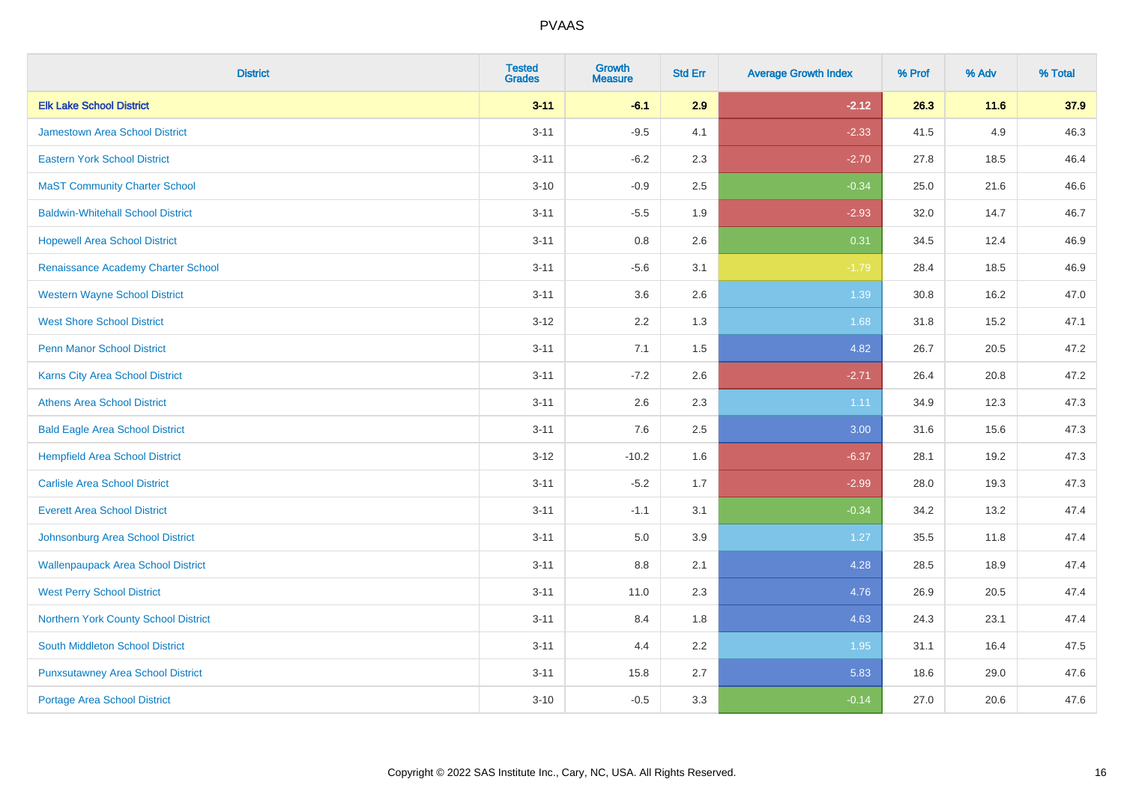| <b>District</b>                           | <b>Tested</b><br><b>Grades</b> | <b>Growth</b><br><b>Measure</b> | <b>Std Err</b> | <b>Average Growth Index</b> | % Prof | % Adv  | % Total |
|-------------------------------------------|--------------------------------|---------------------------------|----------------|-----------------------------|--------|--------|---------|
| <b>Elk Lake School District</b>           | $3 - 11$                       | $-6.1$                          | 2.9            | $-2.12$                     | 26.3   | $11.6$ | 37.9    |
| <b>Jamestown Area School District</b>     | $3 - 11$                       | $-9.5$                          | 4.1            | $-2.33$                     | 41.5   | 4.9    | 46.3    |
| <b>Eastern York School District</b>       | $3 - 11$                       | $-6.2$                          | 2.3            | $-2.70$                     | 27.8   | 18.5   | 46.4    |
| <b>MaST Community Charter School</b>      | $3 - 10$                       | $-0.9$                          | 2.5            | $-0.34$                     | 25.0   | 21.6   | 46.6    |
| <b>Baldwin-Whitehall School District</b>  | $3 - 11$                       | $-5.5$                          | 1.9            | $-2.93$                     | 32.0   | 14.7   | 46.7    |
| <b>Hopewell Area School District</b>      | $3 - 11$                       | 0.8                             | 2.6            | 0.31                        | 34.5   | 12.4   | 46.9    |
| Renaissance Academy Charter School        | $3 - 11$                       | $-5.6$                          | 3.1            | $-1.79$                     | 28.4   | 18.5   | 46.9    |
| <b>Western Wayne School District</b>      | $3 - 11$                       | 3.6                             | 2.6            | 1.39                        | 30.8   | 16.2   | 47.0    |
| <b>West Shore School District</b>         | $3 - 12$                       | 2.2                             | 1.3            | 1.68                        | 31.8   | 15.2   | 47.1    |
| Penn Manor School District                | $3 - 11$                       | 7.1                             | 1.5            | 4.82                        | 26.7   | 20.5   | 47.2    |
| Karns City Area School District           | $3 - 11$                       | $-7.2$                          | 2.6            | $-2.71$                     | 26.4   | 20.8   | 47.2    |
| <b>Athens Area School District</b>        | $3 - 11$                       | 2.6                             | 2.3            | 1.11                        | 34.9   | 12.3   | 47.3    |
| <b>Bald Eagle Area School District</b>    | $3 - 11$                       | 7.6                             | 2.5            | 3.00                        | 31.6   | 15.6   | 47.3    |
| <b>Hempfield Area School District</b>     | $3 - 12$                       | $-10.2$                         | 1.6            | $-6.37$                     | 28.1   | 19.2   | 47.3    |
| <b>Carlisle Area School District</b>      | $3 - 11$                       | $-5.2$                          | 1.7            | $-2.99$                     | 28.0   | 19.3   | 47.3    |
| <b>Everett Area School District</b>       | $3 - 11$                       | $-1.1$                          | 3.1            | $-0.34$                     | 34.2   | 13.2   | 47.4    |
| Johnsonburg Area School District          | $3 - 11$                       | 5.0                             | 3.9            | 1.27                        | 35.5   | 11.8   | 47.4    |
| <b>Wallenpaupack Area School District</b> | $3 - 11$                       | 8.8                             | 2.1            | 4.28                        | 28.5   | 18.9   | 47.4    |
| <b>West Perry School District</b>         | $3 - 11$                       | 11.0                            | 2.3            | 4.76                        | 26.9   | 20.5   | 47.4    |
| Northern York County School District      | $3 - 11$                       | 8.4                             | 1.8            | 4.63                        | 24.3   | 23.1   | 47.4    |
| <b>South Middleton School District</b>    | $3 - 11$                       | 4.4                             | 2.2            | 1.95                        | 31.1   | 16.4   | 47.5    |
| <b>Punxsutawney Area School District</b>  | $3 - 11$                       | 15.8                            | 2.7            | 5.83                        | 18.6   | 29.0   | 47.6    |
| <b>Portage Area School District</b>       | $3 - 10$                       | $-0.5$                          | 3.3            | $-0.14$                     | 27.0   | 20.6   | 47.6    |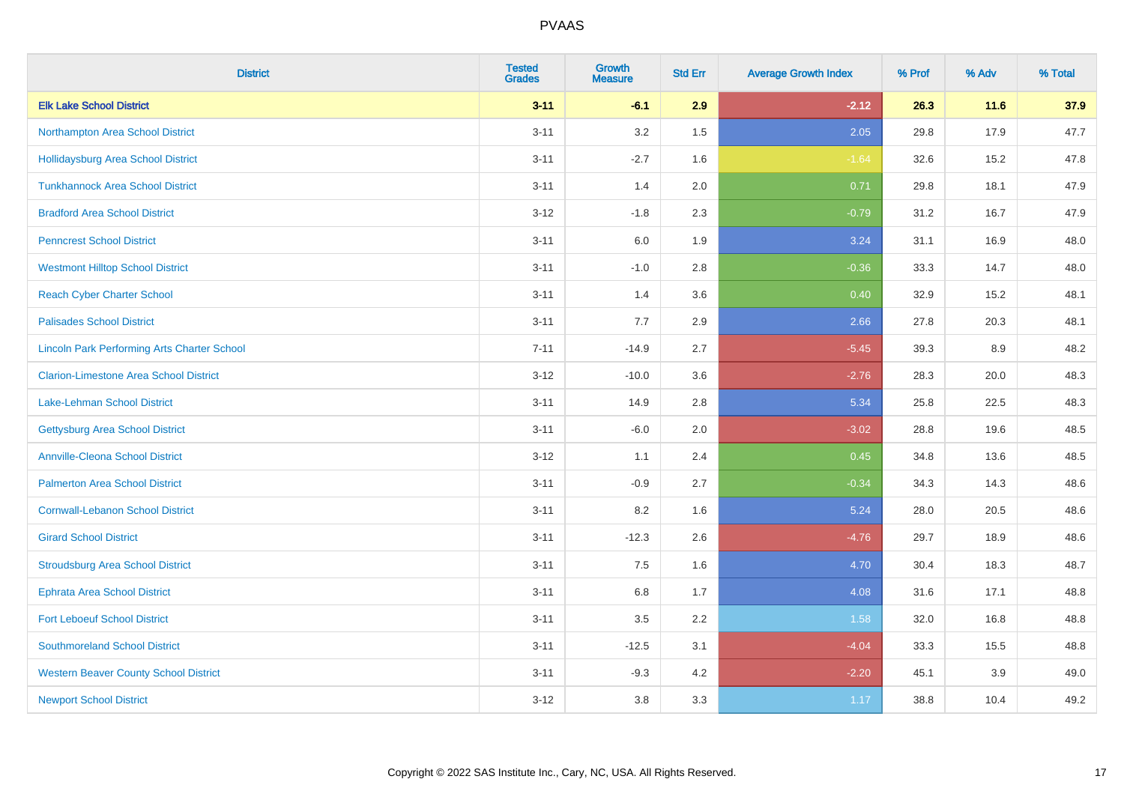| <b>District</b>                                    | <b>Tested</b><br><b>Grades</b> | <b>Growth</b><br><b>Measure</b> | <b>Std Err</b> | <b>Average Growth Index</b> | % Prof | % Adv | % Total |
|----------------------------------------------------|--------------------------------|---------------------------------|----------------|-----------------------------|--------|-------|---------|
| <b>Elk Lake School District</b>                    | $3 - 11$                       | $-6.1$                          | 2.9            | $-2.12$                     | 26.3   | 11.6  | 37.9    |
| Northampton Area School District                   | $3 - 11$                       | 3.2                             | 1.5            | 2.05                        | 29.8   | 17.9  | 47.7    |
| <b>Hollidaysburg Area School District</b>          | $3 - 11$                       | $-2.7$                          | 1.6            | $-1.64$                     | 32.6   | 15.2  | 47.8    |
| <b>Tunkhannock Area School District</b>            | $3 - 11$                       | 1.4                             | 2.0            | 0.71                        | 29.8   | 18.1  | 47.9    |
| <b>Bradford Area School District</b>               | $3 - 12$                       | $-1.8$                          | 2.3            | $-0.79$                     | 31.2   | 16.7  | 47.9    |
| <b>Penncrest School District</b>                   | $3 - 11$                       | 6.0                             | 1.9            | 3.24                        | 31.1   | 16.9  | 48.0    |
| <b>Westmont Hilltop School District</b>            | $3 - 11$                       | $-1.0$                          | 2.8            | $-0.36$                     | 33.3   | 14.7  | 48.0    |
| <b>Reach Cyber Charter School</b>                  | $3 - 11$                       | 1.4                             | 3.6            | 0.40                        | 32.9   | 15.2  | 48.1    |
| <b>Palisades School District</b>                   | $3 - 11$                       | 7.7                             | 2.9            | 2.66                        | 27.8   | 20.3  | 48.1    |
| <b>Lincoln Park Performing Arts Charter School</b> | $7 - 11$                       | $-14.9$                         | 2.7            | $-5.45$                     | 39.3   | 8.9   | 48.2    |
| <b>Clarion-Limestone Area School District</b>      | $3 - 12$                       | $-10.0$                         | 3.6            | $-2.76$                     | 28.3   | 20.0  | 48.3    |
| Lake-Lehman School District                        | $3 - 11$                       | 14.9                            | 2.8            | 5.34                        | 25.8   | 22.5  | 48.3    |
| <b>Gettysburg Area School District</b>             | $3 - 11$                       | $-6.0$                          | 2.0            | $-3.02$                     | 28.8   | 19.6  | 48.5    |
| <b>Annville-Cleona School District</b>             | $3 - 12$                       | 1.1                             | 2.4            | 0.45                        | 34.8   | 13.6  | 48.5    |
| <b>Palmerton Area School District</b>              | $3 - 11$                       | $-0.9$                          | 2.7            | $-0.34$                     | 34.3   | 14.3  | 48.6    |
| <b>Cornwall-Lebanon School District</b>            | $3 - 11$                       | 8.2                             | 1.6            | 5.24                        | 28.0   | 20.5  | 48.6    |
| <b>Girard School District</b>                      | $3 - 11$                       | $-12.3$                         | 2.6            | $-4.76$                     | 29.7   | 18.9  | 48.6    |
| <b>Stroudsburg Area School District</b>            | $3 - 11$                       | 7.5                             | 1.6            | 4.70                        | 30.4   | 18.3  | 48.7    |
| <b>Ephrata Area School District</b>                | $3 - 11$                       | 6.8                             | 1.7            | 4.08                        | 31.6   | 17.1  | 48.8    |
| <b>Fort Leboeuf School District</b>                | $3 - 11$                       | 3.5                             | 2.2            | 1.58                        | 32.0   | 16.8  | 48.8    |
| <b>Southmoreland School District</b>               | $3 - 11$                       | $-12.5$                         | 3.1            | $-4.04$                     | 33.3   | 15.5  | 48.8    |
| <b>Western Beaver County School District</b>       | $3 - 11$                       | $-9.3$                          | 4.2            | $-2.20$                     | 45.1   | 3.9   | 49.0    |
| <b>Newport School District</b>                     | $3 - 12$                       | 3.8                             | 3.3            | 1.17                        | 38.8   | 10.4  | 49.2    |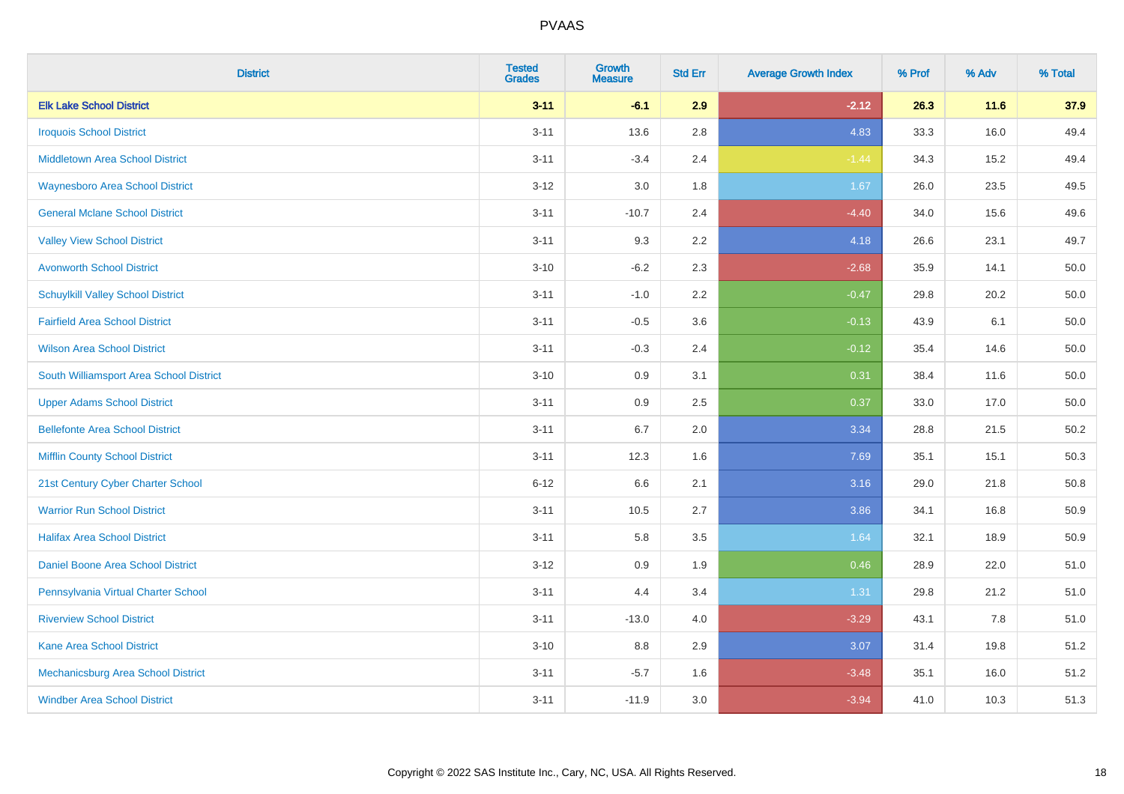| <b>District</b>                           | <b>Tested</b><br><b>Grades</b> | <b>Growth</b><br><b>Measure</b> | <b>Std Err</b> | <b>Average Growth Index</b> | % Prof | % Adv | % Total  |
|-------------------------------------------|--------------------------------|---------------------------------|----------------|-----------------------------|--------|-------|----------|
| <b>Elk Lake School District</b>           | $3 - 11$                       | $-6.1$                          | 2.9            | $-2.12$                     | 26.3   | 11.6  | 37.9     |
| <b>Iroquois School District</b>           | $3 - 11$                       | 13.6                            | 2.8            | 4.83                        | 33.3   | 16.0  | 49.4     |
| <b>Middletown Area School District</b>    | $3 - 11$                       | $-3.4$                          | 2.4            | $-1.44$                     | 34.3   | 15.2  | 49.4     |
| <b>Waynesboro Area School District</b>    | $3 - 12$                       | 3.0                             | 1.8            | 1.67                        | 26.0   | 23.5  | 49.5     |
| <b>General Mclane School District</b>     | $3 - 11$                       | $-10.7$                         | 2.4            | $-4.40$                     | 34.0   | 15.6  | 49.6     |
| <b>Valley View School District</b>        | $3 - 11$                       | 9.3                             | 2.2            | 4.18                        | 26.6   | 23.1  | 49.7     |
| <b>Avonworth School District</b>          | $3 - 10$                       | $-6.2$                          | 2.3            | $-2.68$                     | 35.9   | 14.1  | 50.0     |
| <b>Schuylkill Valley School District</b>  | $3 - 11$                       | $-1.0$                          | 2.2            | $-0.47$                     | 29.8   | 20.2  | 50.0     |
| <b>Fairfield Area School District</b>     | $3 - 11$                       | $-0.5$                          | 3.6            | $-0.13$                     | 43.9   | 6.1   | $50.0\,$ |
| <b>Wilson Area School District</b>        | $3 - 11$                       | $-0.3$                          | 2.4            | $-0.12$                     | 35.4   | 14.6  | 50.0     |
| South Williamsport Area School District   | $3 - 10$                       | 0.9                             | 3.1            | 0.31                        | 38.4   | 11.6  | 50.0     |
| <b>Upper Adams School District</b>        | $3 - 11$                       | 0.9                             | 2.5            | 0.37                        | 33.0   | 17.0  | 50.0     |
| <b>Bellefonte Area School District</b>    | $3 - 11$                       | 6.7                             | 2.0            | 3.34                        | 28.8   | 21.5  | 50.2     |
| <b>Mifflin County School District</b>     | $3 - 11$                       | 12.3                            | 1.6            | 7.69                        | 35.1   | 15.1  | 50.3     |
| 21st Century Cyber Charter School         | $6 - 12$                       | 6.6                             | 2.1            | 3.16                        | 29.0   | 21.8  | 50.8     |
| <b>Warrior Run School District</b>        | $3 - 11$                       | 10.5                            | 2.7            | 3.86                        | 34.1   | 16.8  | 50.9     |
| <b>Halifax Area School District</b>       | $3 - 11$                       | 5.8                             | 3.5            | 1.64                        | 32.1   | 18.9  | 50.9     |
| Daniel Boone Area School District         | $3 - 12$                       | 0.9                             | 1.9            | 0.46                        | 28.9   | 22.0  | 51.0     |
| Pennsylvania Virtual Charter School       | $3 - 11$                       | 4.4                             | 3.4            | 1.31                        | 29.8   | 21.2  | 51.0     |
| <b>Riverview School District</b>          | $3 - 11$                       | $-13.0$                         | 4.0            | $-3.29$                     | 43.1   | 7.8   | 51.0     |
| <b>Kane Area School District</b>          | $3 - 10$                       | 8.8                             | 2.9            | 3.07                        | 31.4   | 19.8  | 51.2     |
| <b>Mechanicsburg Area School District</b> | $3 - 11$                       | $-5.7$                          | 1.6            | $-3.48$                     | 35.1   | 16.0  | 51.2     |
| <b>Windber Area School District</b>       | $3 - 11$                       | $-11.9$                         | 3.0            | $-3.94$                     | 41.0   | 10.3  | 51.3     |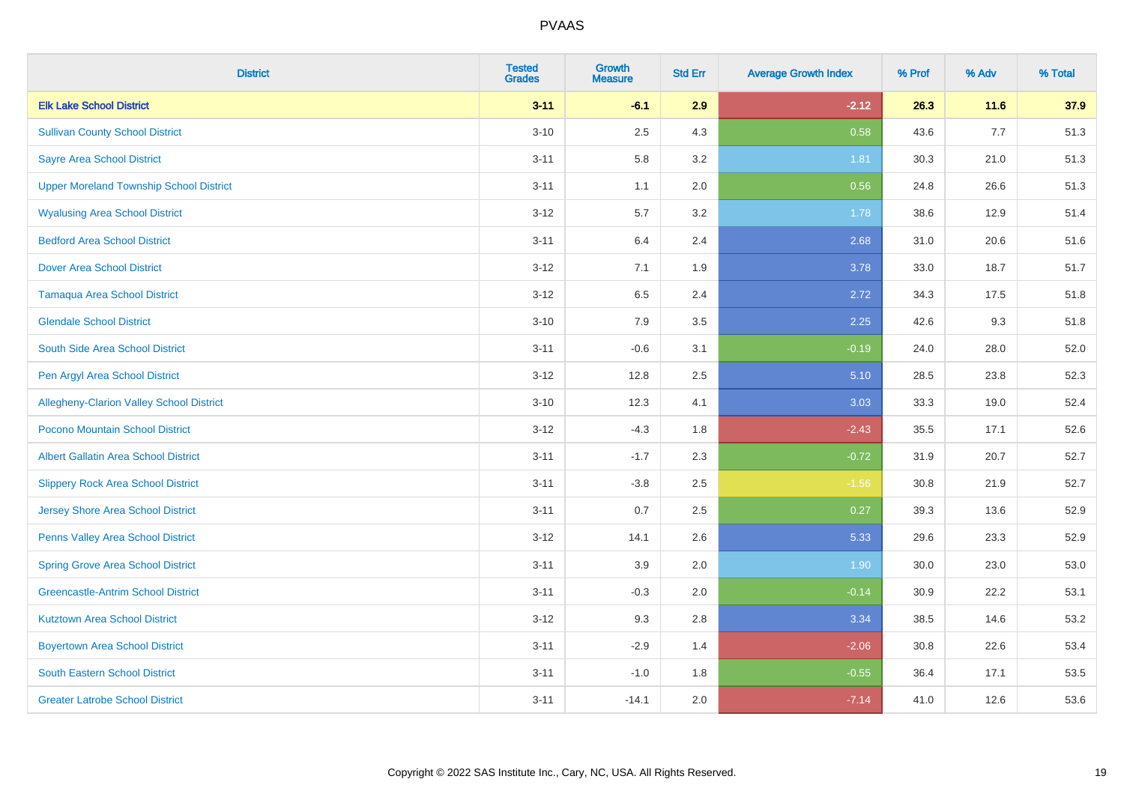| <b>District</b>                                | <b>Tested</b><br><b>Grades</b> | <b>Growth</b><br><b>Measure</b> | <b>Std Err</b> | <b>Average Growth Index</b> | % Prof | % Adv | % Total |
|------------------------------------------------|--------------------------------|---------------------------------|----------------|-----------------------------|--------|-------|---------|
| <b>Elk Lake School District</b>                | $3 - 11$                       | $-6.1$                          | 2.9            | $-2.12$                     | 26.3   | 11.6  | 37.9    |
| <b>Sullivan County School District</b>         | $3 - 10$                       | 2.5                             | 4.3            | 0.58                        | 43.6   | 7.7   | 51.3    |
| <b>Sayre Area School District</b>              | $3 - 11$                       | 5.8                             | 3.2            | 1.81                        | 30.3   | 21.0  | 51.3    |
| <b>Upper Moreland Township School District</b> | $3 - 11$                       | 1.1                             | 2.0            | 0.56                        | 24.8   | 26.6  | 51.3    |
| <b>Wyalusing Area School District</b>          | $3 - 12$                       | 5.7                             | 3.2            | 1.78                        | 38.6   | 12.9  | 51.4    |
| <b>Bedford Area School District</b>            | $3 - 11$                       | 6.4                             | 2.4            | 2.68                        | 31.0   | 20.6  | 51.6    |
| <b>Dover Area School District</b>              | $3 - 12$                       | 7.1                             | 1.9            | 3.78                        | 33.0   | 18.7  | 51.7    |
| <b>Tamaqua Area School District</b>            | $3 - 12$                       | 6.5                             | 2.4            | 2.72                        | 34.3   | 17.5  | 51.8    |
| <b>Glendale School District</b>                | $3 - 10$                       | 7.9                             | 3.5            | 2.25                        | 42.6   | 9.3   | 51.8    |
| South Side Area School District                | $3 - 11$                       | $-0.6$                          | 3.1            | $-0.19$                     | 24.0   | 28.0  | 52.0    |
| Pen Argyl Area School District                 | $3 - 12$                       | 12.8                            | 2.5            | 5.10                        | 28.5   | 23.8  | 52.3    |
| Allegheny-Clarion Valley School District       | $3 - 10$                       | 12.3                            | 4.1            | 3.03                        | 33.3   | 19.0  | 52.4    |
| Pocono Mountain School District                | $3 - 12$                       | $-4.3$                          | 1.8            | $-2.43$                     | 35.5   | 17.1  | 52.6    |
| <b>Albert Gallatin Area School District</b>    | $3 - 11$                       | $-1.7$                          | 2.3            | $-0.72$                     | 31.9   | 20.7  | 52.7    |
| <b>Slippery Rock Area School District</b>      | $3 - 11$                       | $-3.8$                          | 2.5            | $-1.56$                     | 30.8   | 21.9  | 52.7    |
| <b>Jersey Shore Area School District</b>       | $3 - 11$                       | 0.7                             | 2.5            | 0.27                        | 39.3   | 13.6  | 52.9    |
| Penns Valley Area School District              | $3 - 12$                       | 14.1                            | 2.6            | 5.33                        | 29.6   | 23.3  | 52.9    |
| <b>Spring Grove Area School District</b>       | $3 - 11$                       | 3.9                             | 2.0            | 1.90                        | 30.0   | 23.0  | 53.0    |
| <b>Greencastle-Antrim School District</b>      | $3 - 11$                       | $-0.3$                          | 2.0            | $-0.14$                     | 30.9   | 22.2  | 53.1    |
| <b>Kutztown Area School District</b>           | $3 - 12$                       | 9.3                             | 2.8            | 3.34                        | 38.5   | 14.6  | 53.2    |
| <b>Boyertown Area School District</b>          | $3 - 11$                       | $-2.9$                          | 1.4            | $-2.06$                     | 30.8   | 22.6  | 53.4    |
| South Eastern School District                  | $3 - 11$                       | $-1.0$                          | 1.8            | $-0.55$                     | 36.4   | 17.1  | 53.5    |
| <b>Greater Latrobe School District</b>         | $3 - 11$                       | $-14.1$                         | 2.0            | $-7.14$                     | 41.0   | 12.6  | 53.6    |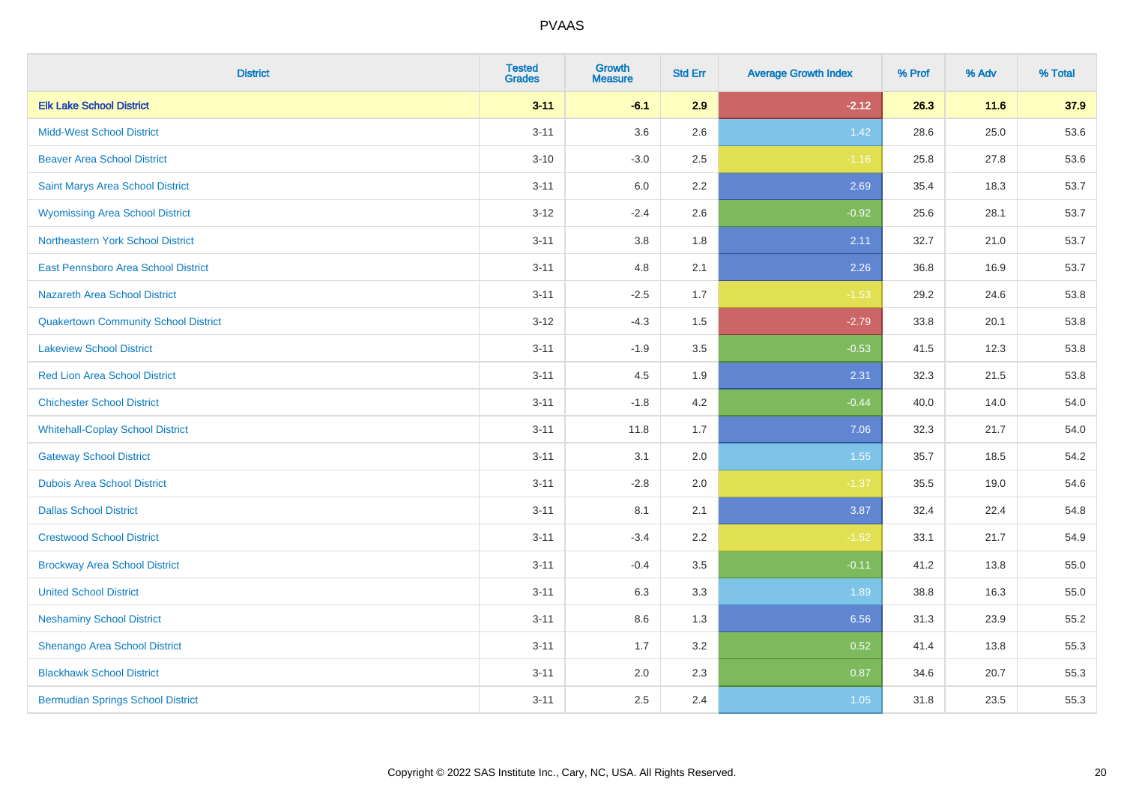| <b>District</b>                             | <b>Tested</b><br><b>Grades</b> | <b>Growth</b><br><b>Measure</b> | <b>Std Err</b> | <b>Average Growth Index</b> | % Prof | % Adv | % Total |
|---------------------------------------------|--------------------------------|---------------------------------|----------------|-----------------------------|--------|-------|---------|
| <b>Elk Lake School District</b>             | $3 - 11$                       | $-6.1$                          | 2.9            | $-2.12$                     | 26.3   | 11.6  | 37.9    |
| <b>Midd-West School District</b>            | $3 - 11$                       | 3.6                             | 2.6            | 1.42                        | 28.6   | 25.0  | 53.6    |
| <b>Beaver Area School District</b>          | $3 - 10$                       | $-3.0$                          | 2.5            | $-1.16$                     | 25.8   | 27.8  | 53.6    |
| Saint Marys Area School District            | $3 - 11$                       | 6.0                             | 2.2            | 2.69                        | 35.4   | 18.3  | 53.7    |
| <b>Wyomissing Area School District</b>      | $3 - 12$                       | $-2.4$                          | 2.6            | $-0.92$                     | 25.6   | 28.1  | 53.7    |
| <b>Northeastern York School District</b>    | $3 - 11$                       | 3.8                             | 1.8            | 2.11                        | 32.7   | 21.0  | 53.7    |
| East Pennsboro Area School District         | $3 - 11$                       | 4.8                             | 2.1            | 2.26                        | 36.8   | 16.9  | 53.7    |
| <b>Nazareth Area School District</b>        | $3 - 11$                       | $-2.5$                          | 1.7            | $-1.53$                     | 29.2   | 24.6  | 53.8    |
| <b>Quakertown Community School District</b> | $3 - 12$                       | $-4.3$                          | 1.5            | $-2.79$                     | 33.8   | 20.1  | 53.8    |
| <b>Lakeview School District</b>             | $3 - 11$                       | $-1.9$                          | 3.5            | $-0.53$                     | 41.5   | 12.3  | 53.8    |
| <b>Red Lion Area School District</b>        | $3 - 11$                       | 4.5                             | 1.9            | 2.31                        | 32.3   | 21.5  | 53.8    |
| <b>Chichester School District</b>           | $3 - 11$                       | $-1.8$                          | 4.2            | $-0.44$                     | 40.0   | 14.0  | 54.0    |
| <b>Whitehall-Coplay School District</b>     | $3 - 11$                       | 11.8                            | 1.7            | 7.06                        | 32.3   | 21.7  | 54.0    |
| <b>Gateway School District</b>              | $3 - 11$                       | 3.1                             | 2.0            | 1.55                        | 35.7   | 18.5  | 54.2    |
| <b>Dubois Area School District</b>          | $3 - 11$                       | $-2.8$                          | 2.0            | $-1.37$                     | 35.5   | 19.0  | 54.6    |
| <b>Dallas School District</b>               | $3 - 11$                       | 8.1                             | 2.1            | 3.87                        | 32.4   | 22.4  | 54.8    |
| <b>Crestwood School District</b>            | $3 - 11$                       | $-3.4$                          | 2.2            | $-1.52$                     | 33.1   | 21.7  | 54.9    |
| <b>Brockway Area School District</b>        | $3 - 11$                       | $-0.4$                          | 3.5            | $-0.11$                     | 41.2   | 13.8  | 55.0    |
| <b>United School District</b>               | $3 - 11$                       | 6.3                             | 3.3            | 1.89                        | 38.8   | 16.3  | 55.0    |
| <b>Neshaminy School District</b>            | $3 - 11$                       | $8.6\,$                         | 1.3            | 6.56                        | 31.3   | 23.9  | 55.2    |
| Shenango Area School District               | $3 - 11$                       | 1.7                             | 3.2            | 0.52                        | 41.4   | 13.8  | 55.3    |
| <b>Blackhawk School District</b>            | $3 - 11$                       | 2.0                             | 2.3            | 0.87                        | 34.6   | 20.7  | 55.3    |
| <b>Bermudian Springs School District</b>    | $3 - 11$                       | 2.5                             | 2.4            | 1.05                        | 31.8   | 23.5  | 55.3    |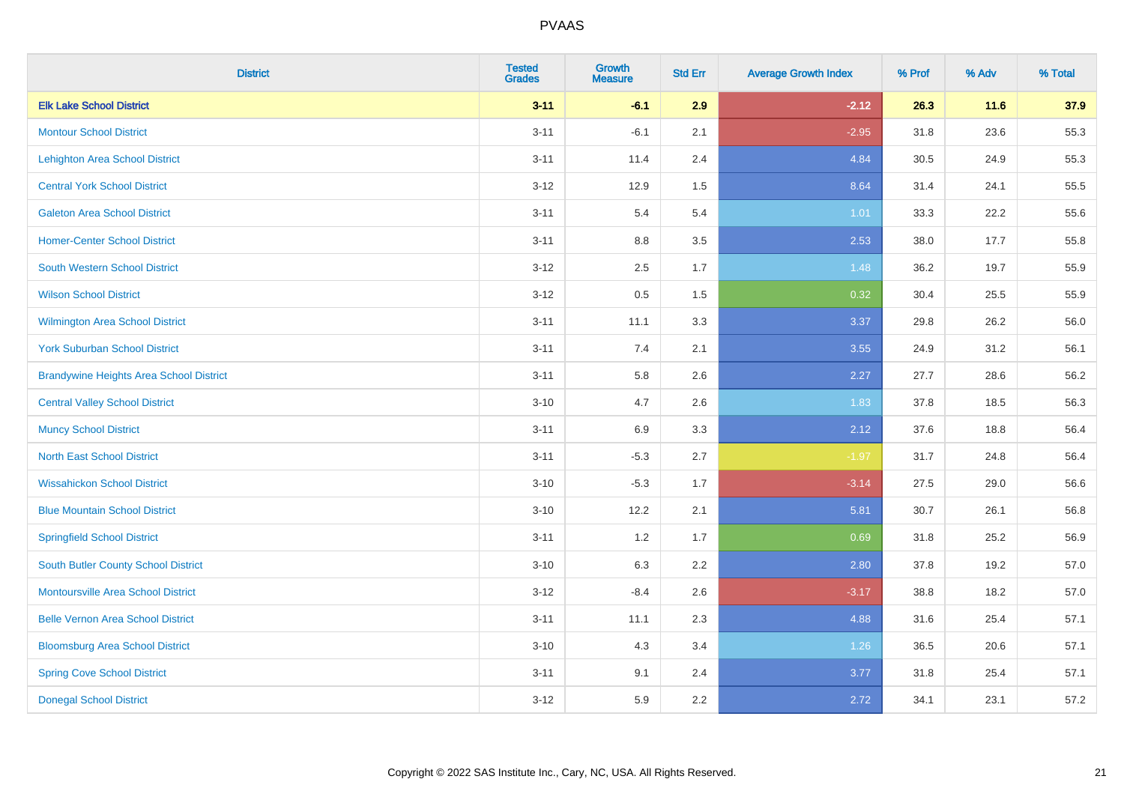| <b>District</b>                                | <b>Tested</b><br><b>Grades</b> | <b>Growth</b><br><b>Measure</b> | <b>Std Err</b> | <b>Average Growth Index</b> | % Prof | % Adv  | % Total |
|------------------------------------------------|--------------------------------|---------------------------------|----------------|-----------------------------|--------|--------|---------|
| <b>Elk Lake School District</b>                | $3 - 11$                       | $-6.1$                          | 2.9            | $-2.12$                     | 26.3   | $11.6$ | 37.9    |
| <b>Montour School District</b>                 | $3 - 11$                       | $-6.1$                          | 2.1            | $-2.95$                     | 31.8   | 23.6   | 55.3    |
| <b>Lehighton Area School District</b>          | $3 - 11$                       | 11.4                            | 2.4            | 4.84                        | 30.5   | 24.9   | 55.3    |
| <b>Central York School District</b>            | $3 - 12$                       | 12.9                            | 1.5            | 8.64                        | 31.4   | 24.1   | 55.5    |
| <b>Galeton Area School District</b>            | $3 - 11$                       | 5.4                             | 5.4            | 1.01                        | 33.3   | 22.2   | 55.6    |
| <b>Homer-Center School District</b>            | $3 - 11$                       | 8.8                             | 3.5            | 2.53                        | 38.0   | 17.7   | 55.8    |
| South Western School District                  | $3 - 12$                       | 2.5                             | 1.7            | 1.48                        | 36.2   | 19.7   | 55.9    |
| <b>Wilson School District</b>                  | $3 - 12$                       | $0.5\,$                         | 1.5            | 0.32                        | 30.4   | 25.5   | 55.9    |
| <b>Wilmington Area School District</b>         | $3 - 11$                       | 11.1                            | 3.3            | 3.37                        | 29.8   | 26.2   | 56.0    |
| <b>York Suburban School District</b>           | $3 - 11$                       | 7.4                             | 2.1            | 3.55                        | 24.9   | 31.2   | 56.1    |
| <b>Brandywine Heights Area School District</b> | $3 - 11$                       | 5.8                             | 2.6            | 2.27                        | 27.7   | 28.6   | 56.2    |
| <b>Central Valley School District</b>          | $3 - 10$                       | 4.7                             | 2.6            | 1.83                        | 37.8   | 18.5   | 56.3    |
| <b>Muncy School District</b>                   | $3 - 11$                       | 6.9                             | 3.3            | 2.12                        | 37.6   | 18.8   | 56.4    |
| <b>North East School District</b>              | $3 - 11$                       | $-5.3$                          | 2.7            | $-1.97$                     | 31.7   | 24.8   | 56.4    |
| <b>Wissahickon School District</b>             | $3 - 10$                       | $-5.3$                          | 1.7            | $-3.14$                     | 27.5   | 29.0   | 56.6    |
| <b>Blue Mountain School District</b>           | $3 - 10$                       | 12.2                            | 2.1            | 5.81                        | 30.7   | 26.1   | 56.8    |
| <b>Springfield School District</b>             | $3 - 11$                       | 1.2                             | 1.7            | 0.69                        | 31.8   | 25.2   | 56.9    |
| <b>South Butler County School District</b>     | $3 - 10$                       | 6.3                             | 2.2            | 2.80                        | 37.8   | 19.2   | 57.0    |
| <b>Montoursville Area School District</b>      | $3 - 12$                       | $-8.4$                          | 2.6            | $-3.17$                     | 38.8   | 18.2   | 57.0    |
| <b>Belle Vernon Area School District</b>       | $3 - 11$                       | 11.1                            | 2.3            | 4.88                        | 31.6   | 25.4   | 57.1    |
| <b>Bloomsburg Area School District</b>         | $3 - 10$                       | 4.3                             | 3.4            | 1.26                        | 36.5   | 20.6   | 57.1    |
| <b>Spring Cove School District</b>             | $3 - 11$                       | 9.1                             | 2.4            | 3.77                        | 31.8   | 25.4   | 57.1    |
| <b>Donegal School District</b>                 | $3-12$                         | 5.9                             | 2.2            | 2.72                        | 34.1   | 23.1   | 57.2    |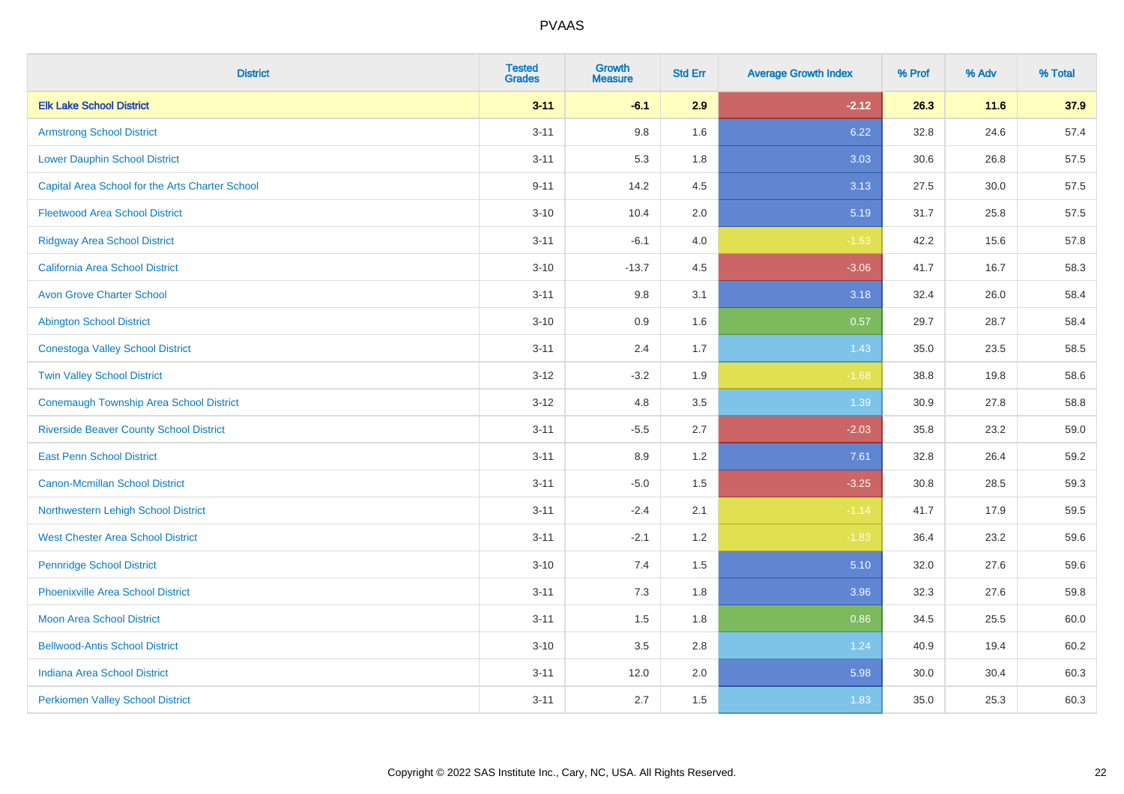| <b>District</b>                                 | <b>Tested</b><br><b>Grades</b> | <b>Growth</b><br><b>Measure</b> | <b>Std Err</b> | <b>Average Growth Index</b> | % Prof | % Adv | % Total |
|-------------------------------------------------|--------------------------------|---------------------------------|----------------|-----------------------------|--------|-------|---------|
| <b>Elk Lake School District</b>                 | $3 - 11$                       | $-6.1$                          | 2.9            | $-2.12$                     | 26.3   | 11.6  | 37.9    |
| <b>Armstrong School District</b>                | $3 - 11$                       | 9.8                             | 1.6            | 6.22                        | 32.8   | 24.6  | 57.4    |
| <b>Lower Dauphin School District</b>            | $3 - 11$                       | 5.3                             | 1.8            | 3.03                        | 30.6   | 26.8  | 57.5    |
| Capital Area School for the Arts Charter School | $9 - 11$                       | 14.2                            | 4.5            | 3.13                        | 27.5   | 30.0  | 57.5    |
| <b>Fleetwood Area School District</b>           | $3 - 10$                       | 10.4                            | 2.0            | 5.19                        | 31.7   | 25.8  | 57.5    |
| <b>Ridgway Area School District</b>             | $3 - 11$                       | $-6.1$                          | 4.0            | $-1.53$                     | 42.2   | 15.6  | 57.8    |
| California Area School District                 | $3 - 10$                       | $-13.7$                         | 4.5            | $-3.06$                     | 41.7   | 16.7  | 58.3    |
| <b>Avon Grove Charter School</b>                | $3 - 11$                       | $9.8\,$                         | 3.1            | 3.18                        | 32.4   | 26.0  | 58.4    |
| <b>Abington School District</b>                 | $3 - 10$                       | 0.9                             | 1.6            | 0.57                        | 29.7   | 28.7  | 58.4    |
| <b>Conestoga Valley School District</b>         | $3 - 11$                       | 2.4                             | 1.7            | 1.43                        | 35.0   | 23.5  | 58.5    |
| <b>Twin Valley School District</b>              | $3 - 12$                       | $-3.2$                          | 1.9            | $-1.68$                     | 38.8   | 19.8  | 58.6    |
| <b>Conemaugh Township Area School District</b>  | $3 - 12$                       | 4.8                             | 3.5            | 1.39                        | 30.9   | 27.8  | 58.8    |
| <b>Riverside Beaver County School District</b>  | $3 - 11$                       | $-5.5$                          | 2.7            | $-2.03$                     | 35.8   | 23.2  | 59.0    |
| <b>East Penn School District</b>                | $3 - 11$                       | 8.9                             | 1.2            | 7.61                        | 32.8   | 26.4  | 59.2    |
| <b>Canon-Mcmillan School District</b>           | $3 - 11$                       | $-5.0$                          | 1.5            | $-3.25$                     | 30.8   | 28.5  | 59.3    |
| Northwestern Lehigh School District             | $3 - 11$                       | $-2.4$                          | 2.1            | $-1.14$                     | 41.7   | 17.9  | 59.5    |
| <b>West Chester Area School District</b>        | $3 - 11$                       | $-2.1$                          | 1.2            | $-1.83$                     | 36.4   | 23.2  | 59.6    |
| <b>Pennridge School District</b>                | $3 - 10$                       | 7.4                             | 1.5            | 5.10                        | 32.0   | 27.6  | 59.6    |
| <b>Phoenixville Area School District</b>        | $3 - 11$                       | 7.3                             | 1.8            | 3.96                        | 32.3   | 27.6  | 59.8    |
| <b>Moon Area School District</b>                | $3 - 11$                       | 1.5                             | 1.8            | 0.86                        | 34.5   | 25.5  | 60.0    |
| <b>Bellwood-Antis School District</b>           | $3 - 10$                       | $3.5\,$                         | 2.8            | 1.24                        | 40.9   | 19.4  | 60.2    |
| <b>Indiana Area School District</b>             | $3 - 11$                       | 12.0                            | 2.0            | 5.98                        | 30.0   | 30.4  | 60.3    |
| <b>Perkiomen Valley School District</b>         | $3 - 11$                       | 2.7                             | 1.5            | 1.83                        | 35.0   | 25.3  | 60.3    |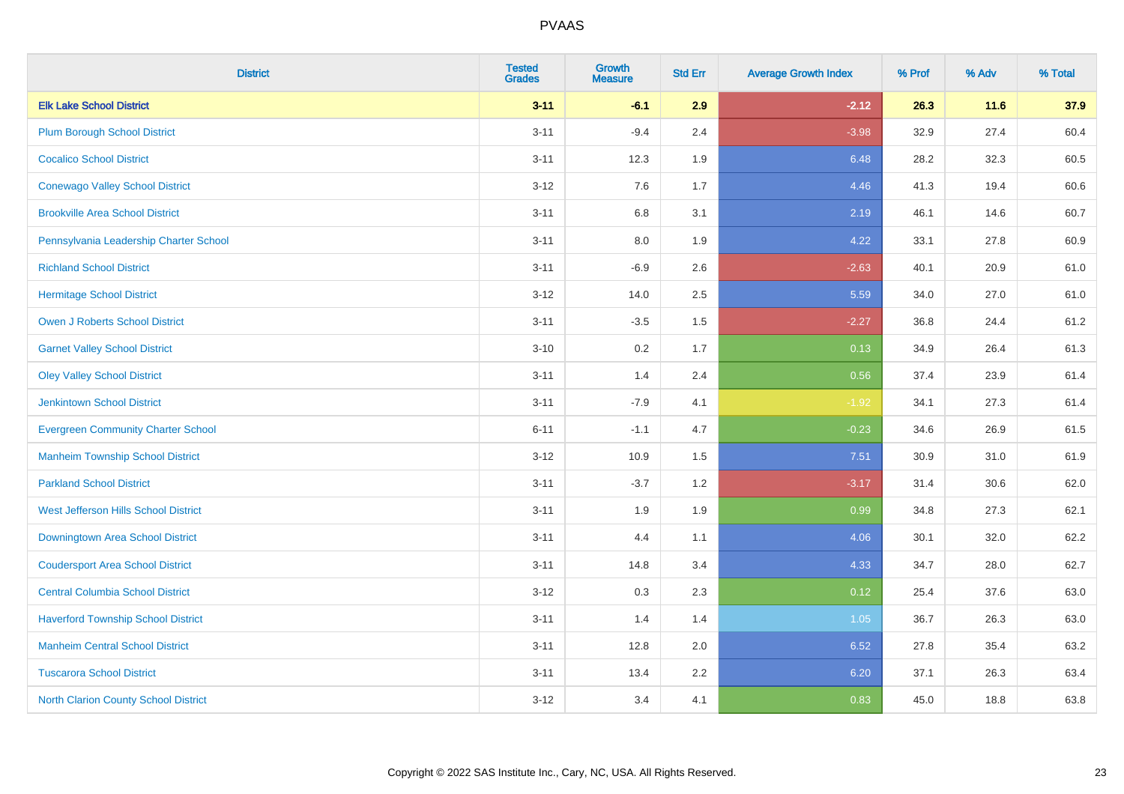| <b>District</b>                             | <b>Tested</b><br><b>Grades</b> | <b>Growth</b><br><b>Measure</b> | <b>Std Err</b> | <b>Average Growth Index</b> | % Prof | % Adv | % Total |
|---------------------------------------------|--------------------------------|---------------------------------|----------------|-----------------------------|--------|-------|---------|
| <b>Elk Lake School District</b>             | $3 - 11$                       | $-6.1$                          | 2.9            | $-2.12$                     | 26.3   | 11.6  | 37.9    |
| <b>Plum Borough School District</b>         | $3 - 11$                       | $-9.4$                          | 2.4            | $-3.98$                     | 32.9   | 27.4  | 60.4    |
| <b>Cocalico School District</b>             | $3 - 11$                       | 12.3                            | 1.9            | 6.48                        | 28.2   | 32.3  | 60.5    |
| <b>Conewago Valley School District</b>      | $3 - 12$                       | 7.6                             | 1.7            | 4.46                        | 41.3   | 19.4  | 60.6    |
| <b>Brookville Area School District</b>      | $3 - 11$                       | 6.8                             | 3.1            | 2.19                        | 46.1   | 14.6  | 60.7    |
| Pennsylvania Leadership Charter School      | $3 - 11$                       | $8.0\,$                         | 1.9            | 4.22                        | 33.1   | 27.8  | 60.9    |
| <b>Richland School District</b>             | $3 - 11$                       | $-6.9$                          | 2.6            | $-2.63$                     | 40.1   | 20.9  | 61.0    |
| <b>Hermitage School District</b>            | $3 - 12$                       | 14.0                            | 2.5            | 5.59                        | 34.0   | 27.0  | 61.0    |
| <b>Owen J Roberts School District</b>       | $3 - 11$                       | $-3.5$                          | 1.5            | $-2.27$                     | 36.8   | 24.4  | 61.2    |
| <b>Garnet Valley School District</b>        | $3 - 10$                       | $0.2\,$                         | 1.7            | 0.13                        | 34.9   | 26.4  | 61.3    |
| <b>Oley Valley School District</b>          | $3 - 11$                       | 1.4                             | 2.4            | 0.56                        | 37.4   | 23.9  | 61.4    |
| <b>Jenkintown School District</b>           | $3 - 11$                       | $-7.9$                          | 4.1            | $-1.92$                     | 34.1   | 27.3  | 61.4    |
| <b>Evergreen Community Charter School</b>   | $6 - 11$                       | $-1.1$                          | 4.7            | $-0.23$                     | 34.6   | 26.9  | 61.5    |
| <b>Manheim Township School District</b>     | $3 - 12$                       | 10.9                            | 1.5            | 7.51                        | 30.9   | 31.0  | 61.9    |
| <b>Parkland School District</b>             | $3 - 11$                       | $-3.7$                          | 1.2            | $-3.17$                     | 31.4   | 30.6  | 62.0    |
| <b>West Jefferson Hills School District</b> | $3 - 11$                       | 1.9                             | 1.9            | 0.99                        | 34.8   | 27.3  | 62.1    |
| Downingtown Area School District            | $3 - 11$                       | 4.4                             | 1.1            | 4.06                        | 30.1   | 32.0  | 62.2    |
| <b>Coudersport Area School District</b>     | $3 - 11$                       | 14.8                            | 3.4            | 4.33                        | 34.7   | 28.0  | 62.7    |
| <b>Central Columbia School District</b>     | $3 - 12$                       | 0.3                             | 2.3            | 0.12                        | 25.4   | 37.6  | 63.0    |
| <b>Haverford Township School District</b>   | $3 - 11$                       | 1.4                             | 1.4            | 1.05                        | 36.7   | 26.3  | 63.0    |
| <b>Manheim Central School District</b>      | $3 - 11$                       | 12.8                            | 2.0            | 6.52                        | 27.8   | 35.4  | 63.2    |
| <b>Tuscarora School District</b>            | $3 - 11$                       | 13.4                            | 2.2            | 6.20                        | 37.1   | 26.3  | 63.4    |
| <b>North Clarion County School District</b> | $3 - 12$                       | 3.4                             | 4.1            | 0.83                        | 45.0   | 18.8  | 63.8    |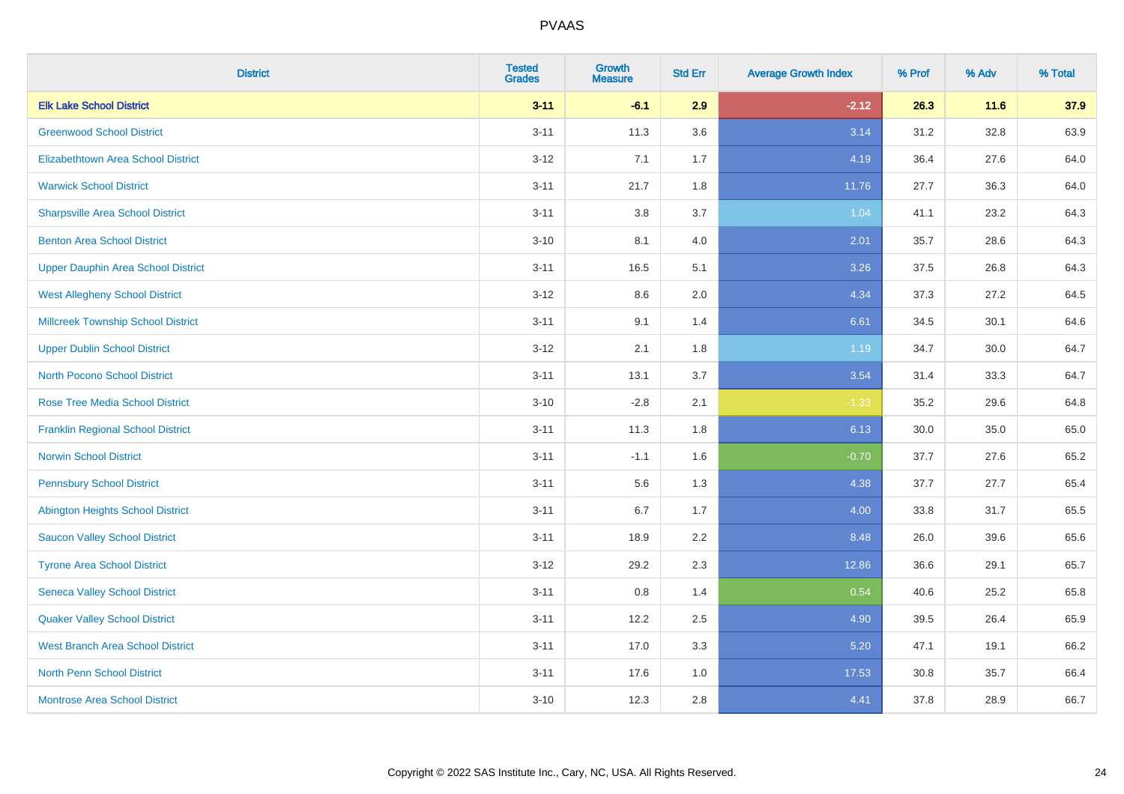| <b>District</b>                           | <b>Tested</b><br><b>Grades</b> | <b>Growth</b><br><b>Measure</b> | <b>Std Err</b> | <b>Average Growth Index</b> | % Prof | % Adv    | % Total |
|-------------------------------------------|--------------------------------|---------------------------------|----------------|-----------------------------|--------|----------|---------|
| <b>Elk Lake School District</b>           | $3 - 11$                       | $-6.1$                          | 2.9            | $-2.12$                     | 26.3   | $11.6$   | 37.9    |
| <b>Greenwood School District</b>          | $3 - 11$                       | 11.3                            | 3.6            | 3.14                        | 31.2   | 32.8     | 63.9    |
| <b>Elizabethtown Area School District</b> | $3 - 12$                       | 7.1                             | 1.7            | 4.19                        | 36.4   | 27.6     | 64.0    |
| <b>Warwick School District</b>            | $3 - 11$                       | 21.7                            | 1.8            | 11.76                       | 27.7   | 36.3     | 64.0    |
| <b>Sharpsville Area School District</b>   | $3 - 11$                       | 3.8                             | 3.7            | 1.04                        | 41.1   | 23.2     | 64.3    |
| <b>Benton Area School District</b>        | $3 - 10$                       | 8.1                             | 4.0            | 2.01                        | 35.7   | 28.6     | 64.3    |
| <b>Upper Dauphin Area School District</b> | $3 - 11$                       | 16.5                            | 5.1            | 3.26                        | 37.5   | 26.8     | 64.3    |
| <b>West Allegheny School District</b>     | $3 - 12$                       | 8.6                             | 2.0            | 4.34                        | 37.3   | 27.2     | 64.5    |
| <b>Millcreek Township School District</b> | $3 - 11$                       | 9.1                             | 1.4            | 6.61                        | 34.5   | 30.1     | 64.6    |
| <b>Upper Dublin School District</b>       | $3 - 12$                       | 2.1                             | 1.8            | 1.19                        | 34.7   | $30.0\,$ | 64.7    |
| <b>North Pocono School District</b>       | $3 - 11$                       | 13.1                            | 3.7            | 3.54                        | 31.4   | 33.3     | 64.7    |
| <b>Rose Tree Media School District</b>    | $3 - 10$                       | $-2.8$                          | 2.1            | $-1.33$                     | 35.2   | 29.6     | 64.8    |
| <b>Franklin Regional School District</b>  | $3 - 11$                       | 11.3                            | 1.8            | 6.13                        | 30.0   | 35.0     | 65.0    |
| <b>Norwin School District</b>             | $3 - 11$                       | $-1.1$                          | 1.6            | $-0.70$                     | 37.7   | 27.6     | 65.2    |
| <b>Pennsbury School District</b>          | $3 - 11$                       | 5.6                             | 1.3            | 4.38                        | 37.7   | 27.7     | 65.4    |
| <b>Abington Heights School District</b>   | $3 - 11$                       | 6.7                             | 1.7            | 4.00                        | 33.8   | 31.7     | 65.5    |
| <b>Saucon Valley School District</b>      | $3 - 11$                       | 18.9                            | 2.2            | 8.48                        | 26.0   | 39.6     | 65.6    |
| <b>Tyrone Area School District</b>        | $3 - 12$                       | 29.2                            | 2.3            | 12.86                       | 36.6   | 29.1     | 65.7    |
| <b>Seneca Valley School District</b>      | $3 - 11$                       | 0.8                             | 1.4            | 0.54                        | 40.6   | 25.2     | 65.8    |
| <b>Quaker Valley School District</b>      | $3 - 11$                       | 12.2                            | 2.5            | 4.90                        | 39.5   | 26.4     | 65.9    |
| <b>West Branch Area School District</b>   | $3 - 11$                       | 17.0                            | 3.3            | 5.20                        | 47.1   | 19.1     | 66.2    |
| North Penn School District                | $3 - 11$                       | 17.6                            | 1.0            | 17.53                       | 30.8   | 35.7     | 66.4    |
| <b>Montrose Area School District</b>      | $3 - 10$                       | 12.3                            | 2.8            | 4.41                        | 37.8   | 28.9     | 66.7    |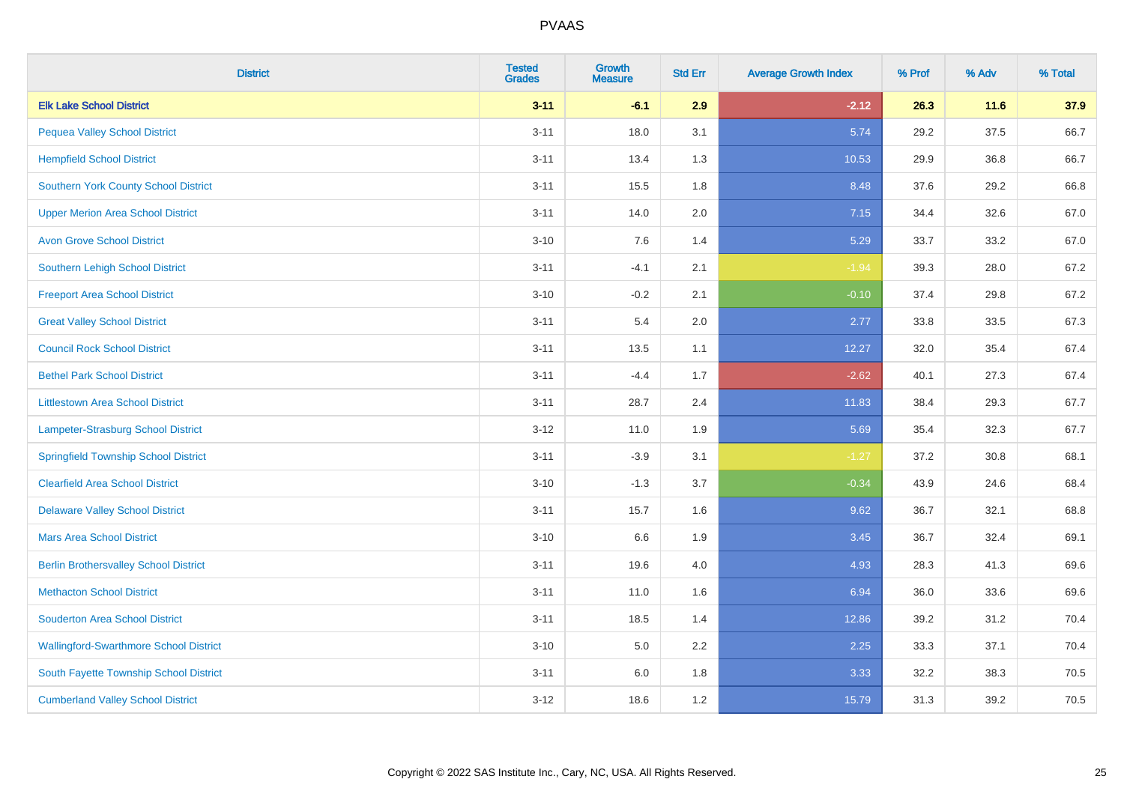| <b>District</b>                               | <b>Tested</b><br><b>Grades</b> | Growth<br><b>Measure</b> | <b>Std Err</b> | <b>Average Growth Index</b> | % Prof | % Adv | % Total |
|-----------------------------------------------|--------------------------------|--------------------------|----------------|-----------------------------|--------|-------|---------|
| <b>Elk Lake School District</b>               | $3 - 11$                       | $-6.1$                   | 2.9            | $-2.12$                     | 26.3   | 11.6  | 37.9    |
| <b>Pequea Valley School District</b>          | $3 - 11$                       | 18.0                     | 3.1            | 5.74                        | 29.2   | 37.5  | 66.7    |
| <b>Hempfield School District</b>              | $3 - 11$                       | 13.4                     | 1.3            | 10.53                       | 29.9   | 36.8  | 66.7    |
| <b>Southern York County School District</b>   | $3 - 11$                       | 15.5                     | 1.8            | 8.48                        | 37.6   | 29.2  | 66.8    |
| <b>Upper Merion Area School District</b>      | $3 - 11$                       | 14.0                     | 2.0            | 7.15                        | 34.4   | 32.6  | 67.0    |
| <b>Avon Grove School District</b>             | $3 - 10$                       | 7.6                      | 1.4            | 5.29                        | 33.7   | 33.2  | 67.0    |
| <b>Southern Lehigh School District</b>        | $3 - 11$                       | $-4.1$                   | 2.1            | $-1.94$                     | 39.3   | 28.0  | 67.2    |
| <b>Freeport Area School District</b>          | $3 - 10$                       | $-0.2$                   | 2.1            | $-0.10$                     | 37.4   | 29.8  | 67.2    |
| <b>Great Valley School District</b>           | $3 - 11$                       | 5.4                      | 2.0            | 2.77                        | 33.8   | 33.5  | 67.3    |
| <b>Council Rock School District</b>           | $3 - 11$                       | 13.5                     | 1.1            | 12.27                       | 32.0   | 35.4  | 67.4    |
| <b>Bethel Park School District</b>            | $3 - 11$                       | $-4.4$                   | 1.7            | $-2.62$                     | 40.1   | 27.3  | 67.4    |
| <b>Littlestown Area School District</b>       | $3 - 11$                       | 28.7                     | 2.4            | 11.83                       | 38.4   | 29.3  | 67.7    |
| Lampeter-Strasburg School District            | $3 - 12$                       | 11.0                     | 1.9            | 5.69                        | 35.4   | 32.3  | 67.7    |
| <b>Springfield Township School District</b>   | $3 - 11$                       | $-3.9$                   | 3.1            | $-1.27$                     | 37.2   | 30.8  | 68.1    |
| <b>Clearfield Area School District</b>        | $3 - 10$                       | $-1.3$                   | 3.7            | $-0.34$                     | 43.9   | 24.6  | 68.4    |
| <b>Delaware Valley School District</b>        | $3 - 11$                       | 15.7                     | 1.6            | 9.62                        | 36.7   | 32.1  | 68.8    |
| <b>Mars Area School District</b>              | $3 - 10$                       | 6.6                      | 1.9            | 3.45                        | 36.7   | 32.4  | 69.1    |
| <b>Berlin Brothersvalley School District</b>  | $3 - 11$                       | 19.6                     | 4.0            | 4.93                        | 28.3   | 41.3  | 69.6    |
| <b>Methacton School District</b>              | $3 - 11$                       | 11.0                     | 1.6            | 6.94                        | 36.0   | 33.6  | 69.6    |
| <b>Souderton Area School District</b>         | $3 - 11$                       | 18.5                     | 1.4            | 12.86                       | 39.2   | 31.2  | 70.4    |
| <b>Wallingford-Swarthmore School District</b> | $3 - 10$                       | 5.0                      | 2.2            | 2.25                        | 33.3   | 37.1  | 70.4    |
| South Fayette Township School District        | $3 - 11$                       | 6.0                      | 1.8            | 3.33                        | 32.2   | 38.3  | 70.5    |
| <b>Cumberland Valley School District</b>      | $3 - 12$                       | 18.6                     | 1.2            | 15.79                       | 31.3   | 39.2  | 70.5    |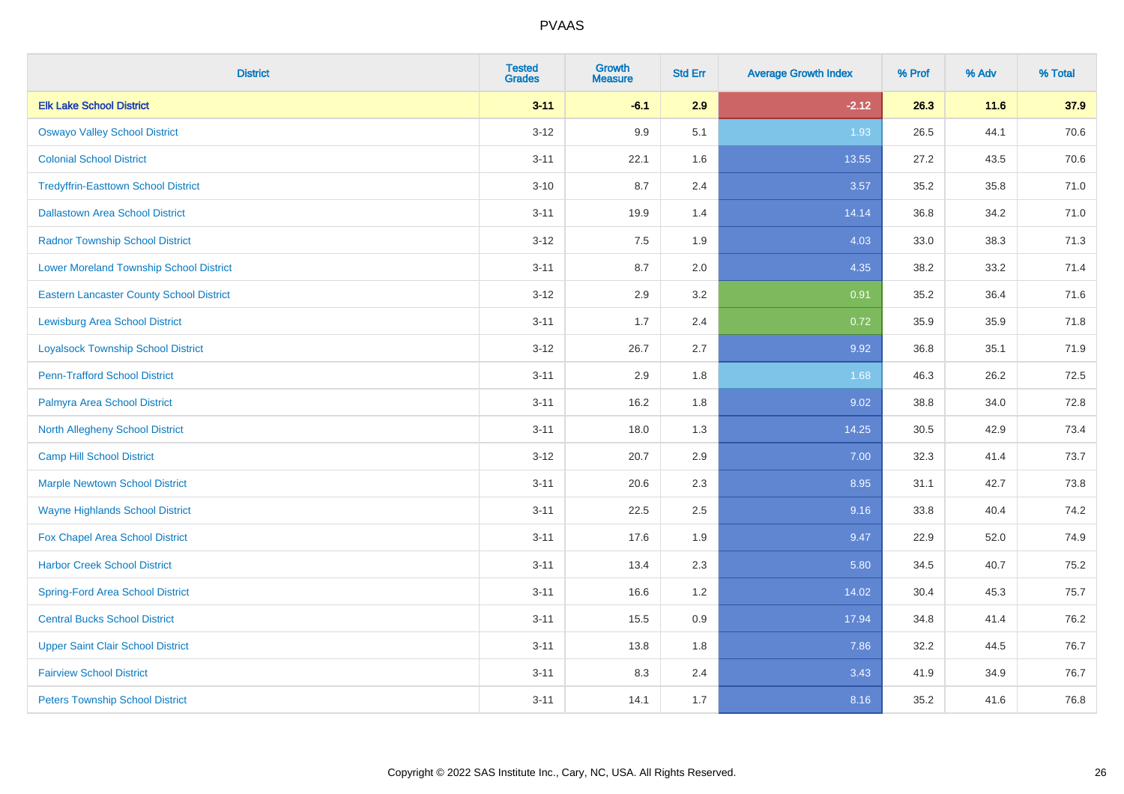| <b>District</b>                                 | <b>Tested</b><br><b>Grades</b> | <b>Growth</b><br><b>Measure</b> | <b>Std Err</b> | <b>Average Growth Index</b> | % Prof | % Adv | % Total |
|-------------------------------------------------|--------------------------------|---------------------------------|----------------|-----------------------------|--------|-------|---------|
| <b>Elk Lake School District</b>                 | $3 - 11$                       | $-6.1$                          | 2.9            | $-2.12$                     | 26.3   | 11.6  | 37.9    |
| <b>Oswayo Valley School District</b>            | $3 - 12$                       | 9.9                             | 5.1            | 1.93                        | 26.5   | 44.1  | 70.6    |
| <b>Colonial School District</b>                 | $3 - 11$                       | 22.1                            | 1.6            | 13.55                       | 27.2   | 43.5  | 70.6    |
| <b>Tredyffrin-Easttown School District</b>      | $3 - 10$                       | 8.7                             | 2.4            | 3.57                        | 35.2   | 35.8  | 71.0    |
| <b>Dallastown Area School District</b>          | $3 - 11$                       | 19.9                            | 1.4            | 14.14                       | 36.8   | 34.2  | 71.0    |
| <b>Radnor Township School District</b>          | $3 - 12$                       | 7.5                             | 1.9            | 4.03                        | 33.0   | 38.3  | 71.3    |
| <b>Lower Moreland Township School District</b>  | $3 - 11$                       | 8.7                             | 2.0            | 4.35                        | 38.2   | 33.2  | 71.4    |
| <b>Eastern Lancaster County School District</b> | $3 - 12$                       | 2.9                             | 3.2            | 0.91                        | 35.2   | 36.4  | 71.6    |
| <b>Lewisburg Area School District</b>           | $3 - 11$                       | 1.7                             | 2.4            | 0.72                        | 35.9   | 35.9  | 71.8    |
| <b>Loyalsock Township School District</b>       | $3 - 12$                       | 26.7                            | 2.7            | 9.92                        | 36.8   | 35.1  | 71.9    |
| <b>Penn-Trafford School District</b>            | $3 - 11$                       | 2.9                             | 1.8            | 1.68                        | 46.3   | 26.2  | 72.5    |
| Palmyra Area School District                    | $3 - 11$                       | 16.2                            | 1.8            | 9.02                        | 38.8   | 34.0  | 72.8    |
| North Allegheny School District                 | $3 - 11$                       | 18.0                            | 1.3            | 14.25                       | 30.5   | 42.9  | 73.4    |
| <b>Camp Hill School District</b>                | $3 - 12$                       | 20.7                            | 2.9            | 7.00                        | 32.3   | 41.4  | 73.7    |
| <b>Marple Newtown School District</b>           | $3 - 11$                       | 20.6                            | 2.3            | 8.95                        | 31.1   | 42.7  | 73.8    |
| <b>Wayne Highlands School District</b>          | $3 - 11$                       | 22.5                            | 2.5            | 9.16                        | 33.8   | 40.4  | 74.2    |
| Fox Chapel Area School District                 | $3 - 11$                       | 17.6                            | 1.9            | 9.47                        | 22.9   | 52.0  | 74.9    |
| <b>Harbor Creek School District</b>             | $3 - 11$                       | 13.4                            | 2.3            | 5.80                        | 34.5   | 40.7  | 75.2    |
| <b>Spring-Ford Area School District</b>         | $3 - 11$                       | 16.6                            | 1.2            | 14.02                       | 30.4   | 45.3  | 75.7    |
| <b>Central Bucks School District</b>            | $3 - 11$                       | 15.5                            | 0.9            | 17.94                       | 34.8   | 41.4  | 76.2    |
| <b>Upper Saint Clair School District</b>        | $3 - 11$                       | 13.8                            | 1.8            | 7.86                        | 32.2   | 44.5  | 76.7    |
| <b>Fairview School District</b>                 | $3 - 11$                       | 8.3                             | 2.4            | 3.43                        | 41.9   | 34.9  | 76.7    |
| <b>Peters Township School District</b>          | $3 - 11$                       | 14.1                            | 1.7            | 8.16                        | 35.2   | 41.6  | 76.8    |